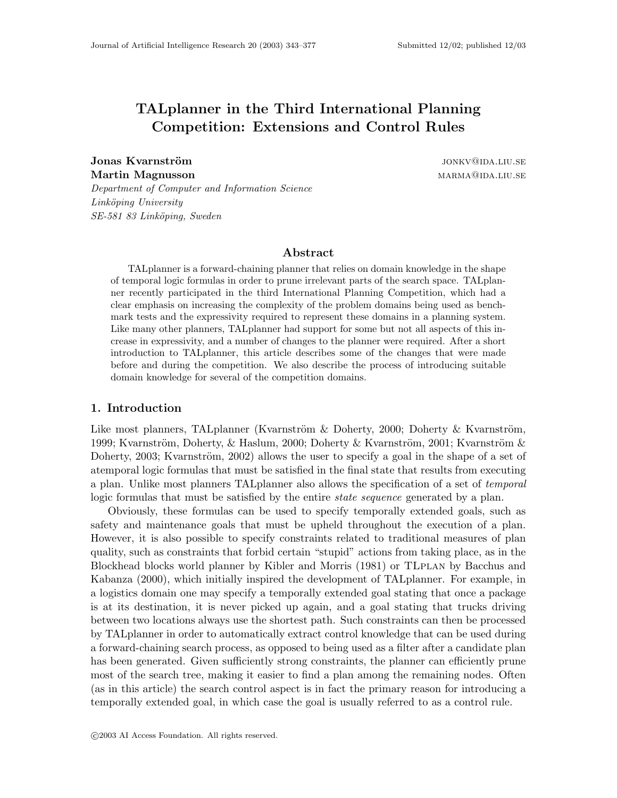# TALplanner in the Third International Planning Competition: Extensions and Control Rules

**Jonas Kvarnström** in the settlement of the settlement of the settlement of the settlement of the settlement of the settlement of the settlement of the settlement of the settlement of the settlement of the settlement of th Martin Magnusson marmama marmama marmama marmama marmama marmama marmama marmama marmama marmama marmama marma

Department of Computer and Information Science Linköping University SE-581 83 Linköping, Sweden

### Abstract

TALplanner is a forward-chaining planner that relies on domain knowledge in the shape of temporal logic formulas in order to prune irrelevant parts of the search space. TALplanner recently participated in the third International Planning Competition, which had a clear emphasis on increasing the complexity of the problem domains being used as benchmark tests and the expressivity required to represent these domains in a planning system. Like many other planners, TALplanner had support for some but not all aspects of this increase in expressivity, and a number of changes to the planner were required. After a short introduction to TALplanner, this article describes some of the changes that were made before and during the competition. We also describe the process of introducing suitable domain knowledge for several of the competition domains.

#### 1. Introduction

Like most planners, TALplanner (Kvarnström  $\&$  Doherty, 2000; Doherty  $\&$  Kvarnström, 1999; Kvarnström, Doherty, & Haslum, 2000; Doherty & Kvarnström, 2001; Kvarnström & Doherty, 2003; Kvarnström, 2002) allows the user to specify a goal in the shape of a set of atemporal logic formulas that must be satisfied in the final state that results from executing a plan. Unlike most planners TALplanner also allows the specification of a set of temporal logic formulas that must be satisfied by the entire *state sequence* generated by a plan.

Obviously, these formulas can be used to specify temporally extended goals, such as safety and maintenance goals that must be upheld throughout the execution of a plan. However, it is also possible to specify constraints related to traditional measures of plan quality, such as constraints that forbid certain "stupid" actions from taking place, as in the Blockhead blocks world planner by Kibler and Morris (1981) or TLplan by Bacchus and Kabanza (2000), which initially inspired the development of TALplanner. For example, in a logistics domain one may specify a temporally extended goal stating that once a package is at its destination, it is never picked up again, and a goal stating that trucks driving between two locations always use the shortest path. Such constraints can then be processed by TALplanner in order to automatically extract control knowledge that can be used during a forward-chaining search process, as opposed to being used as a filter after a candidate plan has been generated. Given sufficiently strong constraints, the planner can efficiently prune most of the search tree, making it easier to find a plan among the remaining nodes. Often (as in this article) the search control aspect is in fact the primary reason for introducing a temporally extended goal, in which case the goal is usually referred to as a control rule.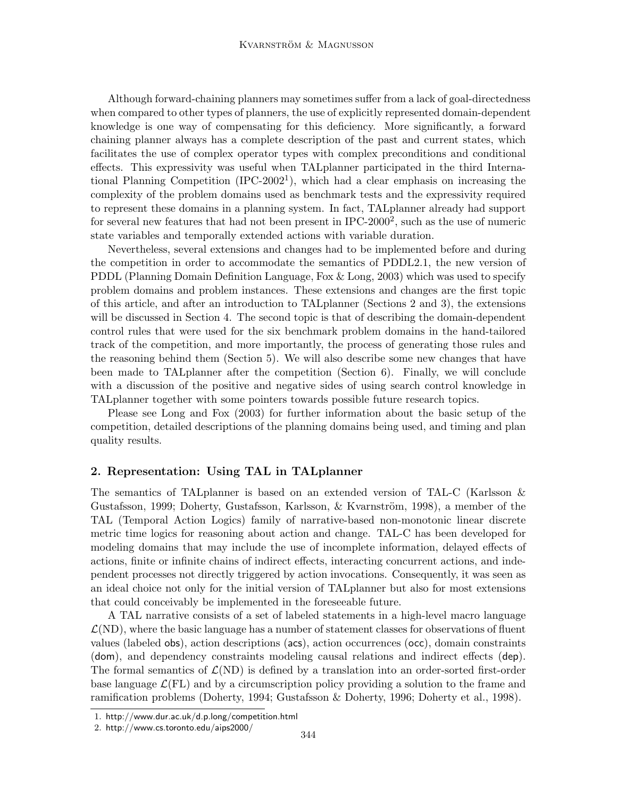Although forward-chaining planners may sometimes suffer from a lack of goal-directedness when compared to other types of planners, the use of explicitly represented domain-dependent knowledge is one way of compensating for this deficiency. More significantly, a forward chaining planner always has a complete description of the past and current states, which facilitates the use of complex operator types with complex preconditions and conditional effects. This expressivity was useful when TALplanner participated in the third International Planning Competition (IPC-2002<sup>1</sup>), which had a clear emphasis on increasing the complexity of the problem domains used as benchmark tests and the expressivity required to represent these domains in a planning system. In fact, TALplanner already had support for several new features that had not been present in IPC-2000<sup>2</sup>, such as the use of numeric state variables and temporally extended actions with variable duration.

Nevertheless, several extensions and changes had to be implemented before and during the competition in order to accommodate the semantics of PDDL2.1, the new version of PDDL (Planning Domain Definition Language, Fox & Long, 2003) which was used to specify problem domains and problem instances. These extensions and changes are the first topic of this article, and after an introduction to TALplanner (Sections 2 and 3), the extensions will be discussed in Section 4. The second topic is that of describing the domain-dependent control rules that were used for the six benchmark problem domains in the hand-tailored track of the competition, and more importantly, the process of generating those rules and the reasoning behind them (Section 5). We will also describe some new changes that have been made to TALplanner after the competition (Section 6). Finally, we will conclude with a discussion of the positive and negative sides of using search control knowledge in TALplanner together with some pointers towards possible future research topics.

Please see Long and Fox (2003) for further information about the basic setup of the competition, detailed descriptions of the planning domains being used, and timing and plan quality results.

## 2. Representation: Using TAL in TALplanner

The semantics of TALplanner is based on an extended version of TAL-C (Karlsson & Gustafsson, 1999; Doherty, Gustafsson, Karlsson, & Kvarnström, 1998), a member of the TAL (Temporal Action Logics) family of narrative-based non-monotonic linear discrete metric time logics for reasoning about action and change. TAL-C has been developed for modeling domains that may include the use of incomplete information, delayed effects of actions, finite or infinite chains of indirect effects, interacting concurrent actions, and independent processes not directly triggered by action invocations. Consequently, it was seen as an ideal choice not only for the initial version of TALplanner but also for most extensions that could conceivably be implemented in the foreseeable future.

A TAL narrative consists of a set of labeled statements in a high-level macro language  $\mathcal{L}(ND)$ , where the basic language has a number of statement classes for observations of fluent values (labeled obs), action descriptions (acs), action occurrences (occ), domain constraints (dom), and dependency constraints modeling causal relations and indirect effects (dep). The formal semantics of  $\mathcal{L}(ND)$  is defined by a translation into an order-sorted first-order base language  $\mathcal{L}(FL)$  and by a circumscription policy providing a solution to the frame and ramification problems (Doherty, 1994; Gustafsson & Doherty, 1996; Doherty et al., 1998).

<sup>1.</sup> http://www.dur.ac.uk/d.p.long/competition.html

<sup>2.</sup> http://www.cs.toronto.edu/aips2000/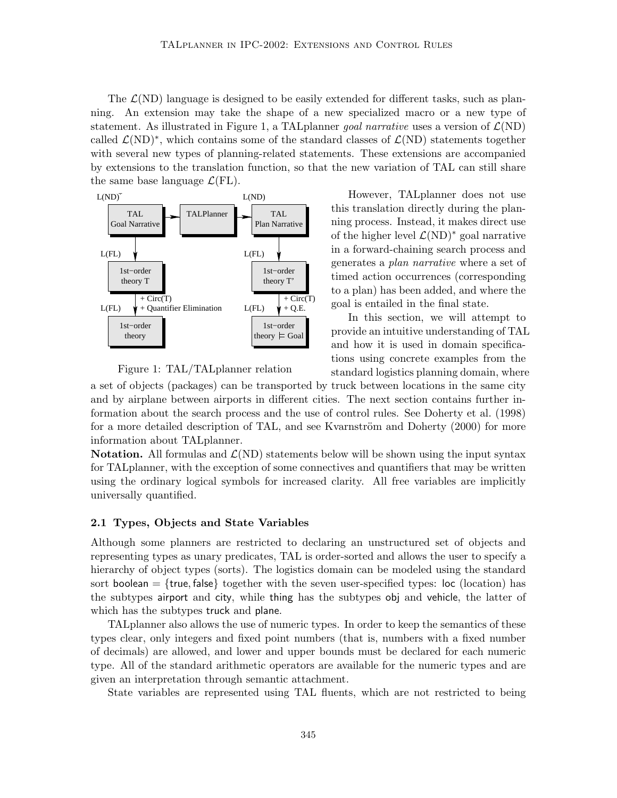The  $\mathcal{L}(ND)$  language is designed to be easily extended for different tasks, such as planning. An extension may take the shape of a new specialized macro or a new type of statement. As illustrated in Figure 1, a TAL planner goal narrative uses a version of  $\mathcal{L}(ND)$ called  $\mathcal{L}(ND)^*$ , which contains some of the standard classes of  $\mathcal{L}(ND)$  statements together with several new types of planning-related statements. These extensions are accompanied by extensions to the translation function, so that the new variation of TAL can still share the same base language  $\mathcal{L}(FL)$ .



Figure 1: TAL/TALplanner relation

However, TALplanner does not use this translation directly during the planning process. Instead, it makes direct use of the higher level  $\mathcal{L}(ND)^*$  goal narrative in a forward-chaining search process and generates a plan narrative where a set of timed action occurrences (corresponding to a plan) has been added, and where the goal is entailed in the final state.

In this section, we will attempt to provide an intuitive understanding of TAL and how it is used in domain specifications using concrete examples from the standard logistics planning domain, where

a set of objects (packages) can be transported by truck between locations in the same city and by airplane between airports in different cities. The next section contains further information about the search process and the use of control rules. See Doherty et al. (1998) for a more detailed description of TAL, and see Kvarnström and Doherty (2000) for more information about TALplanner.

**Notation.** All formulas and  $\mathcal{L}(ND)$  statements below will be shown using the input syntax for TALplanner, with the exception of some connectives and quantifiers that may be written using the ordinary logical symbols for increased clarity. All free variables are implicitly universally quantified.

#### 2.1 Types, Objects and State Variables

Although some planners are restricted to declaring an unstructured set of objects and representing types as unary predicates, TAL is order-sorted and allows the user to specify a hierarchy of object types (sorts). The logistics domain can be modeled using the standard sort boolean  $=$  {true, false} together with the seven user-specified types: loc (location) has the subtypes airport and city, while thing has the subtypes obj and vehicle, the latter of which has the subtypes truck and plane.

TALplanner also allows the use of numeric types. In order to keep the semantics of these types clear, only integers and fixed point numbers (that is, numbers with a fixed number of decimals) are allowed, and lower and upper bounds must be declared for each numeric type. All of the standard arithmetic operators are available for the numeric types and are given an interpretation through semantic attachment.

State variables are represented using TAL fluents, which are not restricted to being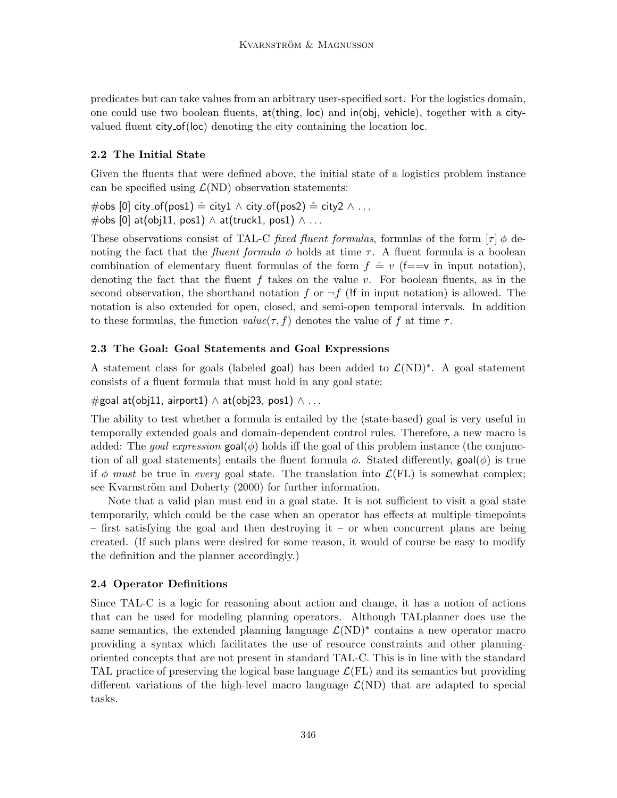predicates but can take values from an arbitrary user-specified sort. For the logistics domain, one could use two boolean fluents, at(thing, loc) and in(obj, vehicle), together with a cityvalued fluent city of(loc) denoting the city containing the location loc.

## 2.2 The Initial State

Given the fluents that were defined above, the initial state of a logistics problem instance can be specified using  $\mathcal{L}(ND)$  observation statements:

#obs [0] city\_of(pos1)  $\hat{=}$  city1 ∧ city\_of(pos2)  $\hat{=}$  city2 ∧ ...  $\#$ obs [0] at(obj11, pos1) ∧ at(truck1, pos1) ∧ ...

These observations consist of TAL-C *fixed fluent formulas*, formulas of the form  $[\tau] \phi$  denoting the fact that the *fluent formula*  $\phi$  holds at time  $\tau$ . A fluent formula is a boolean combination of elementary fluent formulas of the form  $f \text{ }\stackrel{\scriptstyle\perp}{=} v$  (f==v in input notation), denoting the fact that the fluent f takes on the value v. For boolean fluents, as in the second observation, the shorthand notation f or  $\neg f$  (!f in input notation) is allowed. The notation is also extended for open, closed, and semi-open temporal intervals. In addition to these formulas, the function  $value(\tau, f)$  denotes the value of f at time  $\tau$ .

## 2.3 The Goal: Goal Statements and Goal Expressions

A statement class for goals (labeled goal) has been added to  $\mathcal{L}(ND)^*$ . A goal statement consists of a fluent formula that must hold in any goal state:

 $#$ goal at(obj11, airport1) ∧ at(obj23, pos1) ∧ ...

The ability to test whether a formula is entailed by the (state-based) goal is very useful in temporally extended goals and domain-dependent control rules. Therefore, a new macro is added: The *goal expression*  $\text{goal}(\phi)$  holds iff the goal of this problem instance (the conjunction of all goal statements) entails the fluent formula  $\phi$ . Stated differently, goal( $\phi$ ) is true if  $\phi$  must be true in every goal state. The translation into  $\mathcal{L}(FL)$  is somewhat complex; see Kvarnström and Doherty (2000) for further information.

Note that a valid plan must end in a goal state. It is not sufficient to visit a goal state temporarily, which could be the case when an operator has effects at multiple timepoints – first satisfying the goal and then destroying it – or when concurrent plans are being created. (If such plans were desired for some reason, it would of course be easy to modify the definition and the planner accordingly.)

## 2.4 Operator Definitions

Since TAL-C is a logic for reasoning about action and change, it has a notion of actions that can be used for modeling planning operators. Although TALplanner does use the same semantics, the extended planning language  $\mathcal{L}(ND)^*$  contains a new operator macro providing a syntax which facilitates the use of resource constraints and other planningoriented concepts that are not present in standard TAL-C. This is in line with the standard TAL practice of preserving the logical base language  $\mathcal{L}(FL)$  and its semantics but providing different variations of the high-level macro language  $\mathcal{L}(ND)$  that are adapted to special tasks.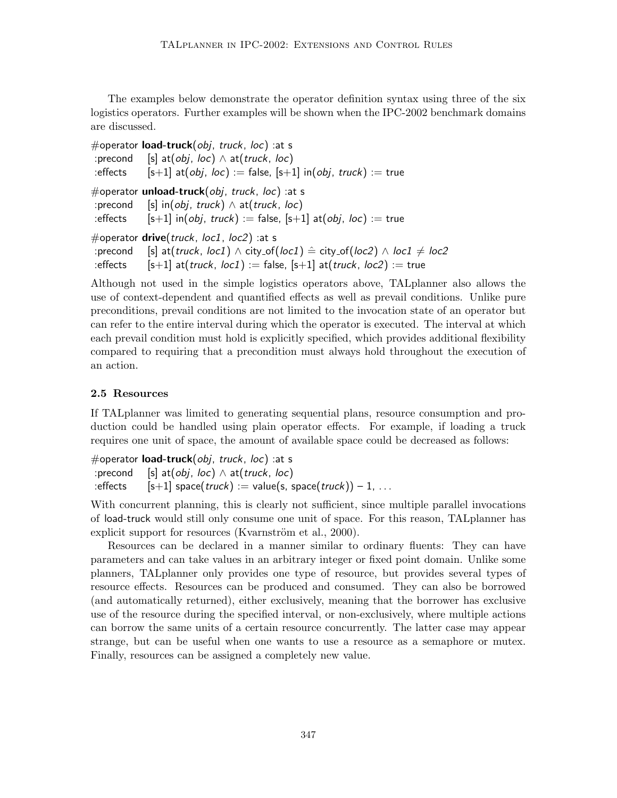The examples below demonstrate the operator definition syntax using three of the six logistics operators. Further examples will be shown when the IPC-2002 benchmark domains are discussed.

```
#operator load-truck(obj, truck, loc) :at s
:precond [s] at(obj, loc) \land at(truck, loc)
:effects [s+1] at(obj, loc) := false, [s+1] in(obj, truck) := true
#operator unload-truck(obj, truck, loc) : at s
:precond [s] in(obj, truck) \wedge at(truck, loc)
:effects [s+1] in(obj, truck) := false, [s+1] at(obj, loc) := true
#operator drive(truck, loc1, loc2) :at s
:precond [s] at(truck, loc1) \wedge city\_of(loc1) \triangleq city\_of(loc2) \wedge loc1 \neq loc2:effects [s+1] at(truck, loc1) := false, [s+1] at(truck, loc2) := true
```
Although not used in the simple logistics operators above, TALplanner also allows the use of context-dependent and quantified effects as well as prevail conditions. Unlike pure preconditions, prevail conditions are not limited to the invocation state of an operator but can refer to the entire interval during which the operator is executed. The interval at which each prevail condition must hold is explicitly specified, which provides additional flexibility compared to requiring that a precondition must always hold throughout the execution of an action.

## 2.5 Resources

If TALplanner was limited to generating sequential plans, resource consumption and production could be handled using plain operator effects. For example, if loading a truck requires one unit of space, the amount of available space could be decreased as follows:

#operator **load-truck**(*obj*, truck, loc) :at s :precond [s] at(*obj*, *loc*)  $\land$  at(*truck*, *loc*) :effects  $[s+1]$  space(*truck*) := value(s, space(*truck*)) – 1, ...

With concurrent planning, this is clearly not sufficient, since multiple parallel invocations of load-truck would still only consume one unit of space. For this reason, TALplanner has explicit support for resources (Kvarnström et al., 2000).

Resources can be declared in a manner similar to ordinary fluents: They can have parameters and can take values in an arbitrary integer or fixed point domain. Unlike some planners, TALplanner only provides one type of resource, but provides several types of resource effects. Resources can be produced and consumed. They can also be borrowed (and automatically returned), either exclusively, meaning that the borrower has exclusive use of the resource during the specified interval, or non-exclusively, where multiple actions can borrow the same units of a certain resource concurrently. The latter case may appear strange, but can be useful when one wants to use a resource as a semaphore or mutex. Finally, resources can be assigned a completely new value.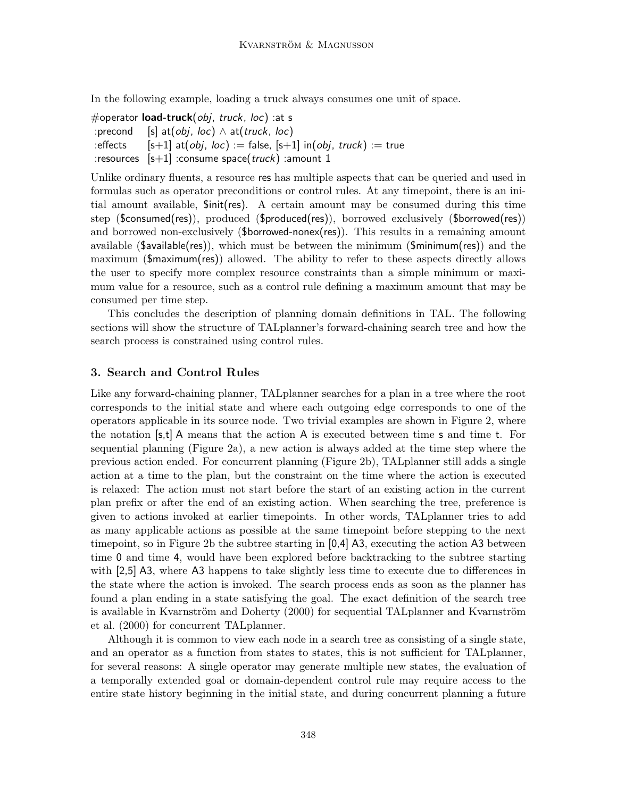In the following example, loading a truck always consumes one unit of space.

#operator **load-truck**(*obj*, truck, loc) : at s :precond [s] at(*obj*, *loc*)  $\land$  at(*truck*, *loc*) :effects  $[s+1]$  at(*obj*, loc) := false,  $[s+1]$  in(*obj*, truck) := true : resources  $[s+1]$  : consume space(*truck*) : amount 1

Unlike ordinary fluents, a resource res has multiple aspects that can be queried and used in formulas such as operator preconditions or control rules. At any timepoint, there is an initial amount available, \$init(res). A certain amount may be consumed during this time step (\$consumed(res)), produced (\$produced(res)), borrowed exclusively (\$borrowed(res)) and borrowed non-exclusively (\$borrowed-nonex(res)). This results in a remaining amount available (\$available(res)), which must be between the minimum (\$minimum(res)) and the maximum (\$maximum(res)) allowed. The ability to refer to these aspects directly allows the user to specify more complex resource constraints than a simple minimum or maximum value for a resource, such as a control rule defining a maximum amount that may be consumed per time step.

This concludes the description of planning domain definitions in TAL. The following sections will show the structure of TALplanner's forward-chaining search tree and how the search process is constrained using control rules.

### 3. Search and Control Rules

Like any forward-chaining planner, TALplanner searches for a plan in a tree where the root corresponds to the initial state and where each outgoing edge corresponds to one of the operators applicable in its source node. Two trivial examples are shown in Figure 2, where the notation [s,t] A means that the action A is executed between time s and time t. For sequential planning (Figure 2a), a new action is always added at the time step where the previous action ended. For concurrent planning (Figure 2b), TALplanner still adds a single action at a time to the plan, but the constraint on the time where the action is executed is relaxed: The action must not start before the start of an existing action in the current plan prefix or after the end of an existing action. When searching the tree, preference is given to actions invoked at earlier timepoints. In other words, TALplanner tries to add as many applicable actions as possible at the same timepoint before stepping to the next timepoint, so in Figure 2b the subtree starting in [0,4] A3, executing the action A3 between time 0 and time 4, would have been explored before backtracking to the subtree starting with [2,5] A3, where A3 happens to take slightly less time to execute due to differences in the state where the action is invoked. The search process ends as soon as the planner has found a plan ending in a state satisfying the goal. The exact definition of the search tree is available in Kvarnström and Doherty (2000) for sequential TALplanner and Kvarnström et al. (2000) for concurrent TALplanner.

Although it is common to view each node in a search tree as consisting of a single state, and an operator as a function from states to states, this is not sufficient for TALplanner, for several reasons: A single operator may generate multiple new states, the evaluation of a temporally extended goal or domain-dependent control rule may require access to the entire state history beginning in the initial state, and during concurrent planning a future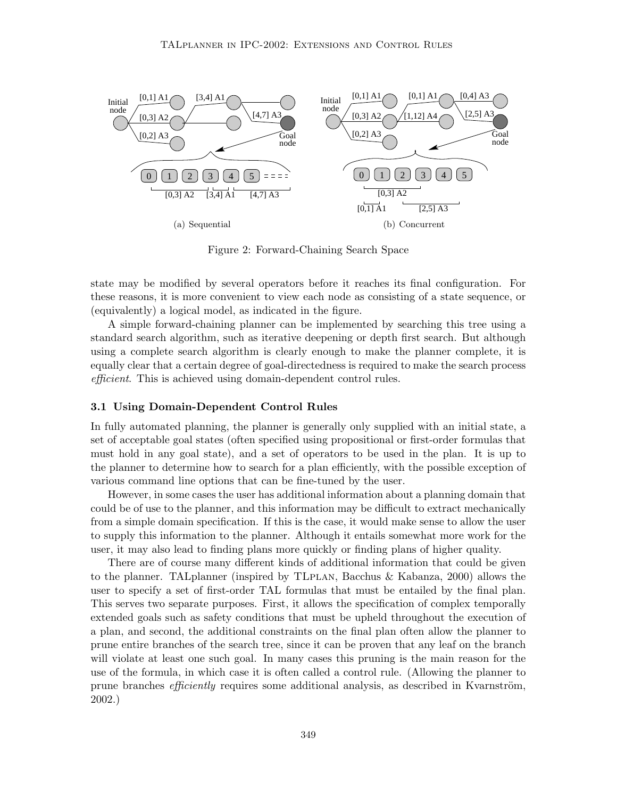

Figure 2: Forward-Chaining Search Space

state may be modified by several operators before it reaches its final configuration. For these reasons, it is more convenient to view each node as consisting of a state sequence, or (equivalently) a logical model, as indicated in the figure.

A simple forward-chaining planner can be implemented by searching this tree using a standard search algorithm, such as iterative deepening or depth first search. But although using a complete search algorithm is clearly enough to make the planner complete, it is equally clear that a certain degree of goal-directedness is required to make the search process efficient. This is achieved using domain-dependent control rules.

#### 3.1 Using Domain-Dependent Control Rules

In fully automated planning, the planner is generally only supplied with an initial state, a set of acceptable goal states (often specified using propositional or first-order formulas that must hold in any goal state), and a set of operators to be used in the plan. It is up to the planner to determine how to search for a plan efficiently, with the possible exception of various command line options that can be fine-tuned by the user.

However, in some cases the user has additional information about a planning domain that could be of use to the planner, and this information may be difficult to extract mechanically from a simple domain specification. If this is the case, it would make sense to allow the user to supply this information to the planner. Although it entails somewhat more work for the user, it may also lead to finding plans more quickly or finding plans of higher quality.

There are of course many different kinds of additional information that could be given to the planner. TALplanner (inspired by TLplan, Bacchus & Kabanza, 2000) allows the user to specify a set of first-order TAL formulas that must be entailed by the final plan. This serves two separate purposes. First, it allows the specification of complex temporally extended goals such as safety conditions that must be upheld throughout the execution of a plan, and second, the additional constraints on the final plan often allow the planner to prune entire branches of the search tree, since it can be proven that any leaf on the branch will violate at least one such goal. In many cases this pruning is the main reason for the use of the formula, in which case it is often called a control rule. (Allowing the planner to prune branches *efficiently* requires some additional analysis, as described in Kvarnström, 2002.)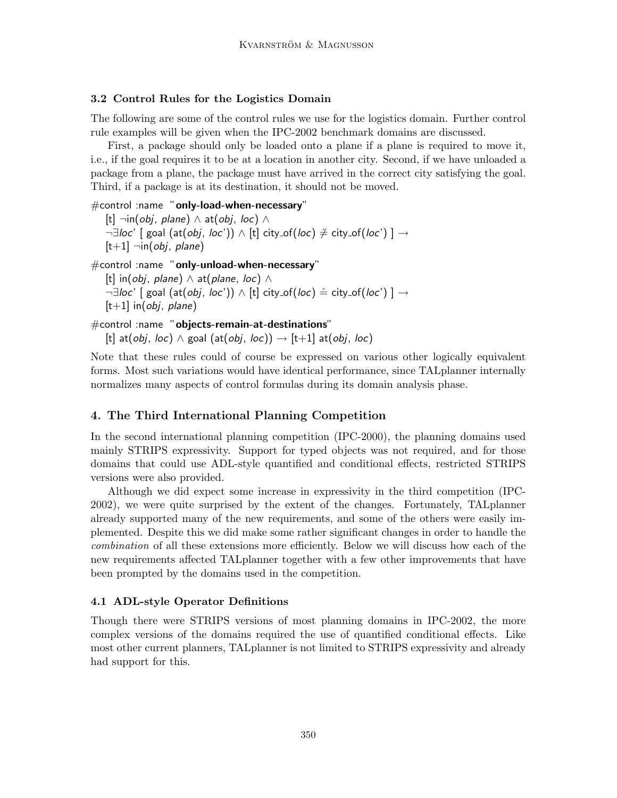## 3.2 Control Rules for the Logistics Domain

The following are some of the control rules we use for the logistics domain. Further control rule examples will be given when the IPC-2002 benchmark domains are discussed.

First, a package should only be loaded onto a plane if a plane is required to move it, i.e., if the goal requires it to be at a location in another city. Second, if we have unloaded a package from a plane, the package must have arrived in the correct city satisfying the goal. Third, if a package is at its destination, it should not be moved.

#control :name "only-load-when-necessary" [t] ¬in(*obj*, *plane*)  $\land$  at(*obj*, *loc*)  $\land$ ¬∃loc' [ goal (at(obj, loc')) ∧ [t] city\_of(loc)  $\neq$  city\_of(loc') ]  $\rightarrow$  $|t+1|$   $\neg$ in(*obj*, *plane*) #control :name "only-unload-when-necessary"

[t] in(obj, plane)  $\wedge$  at(plane, loc)  $\wedge$  $\neg \exists \textit{loc'} \ [\ \text{goal (at(obj, loc'))} \wedge [\text{t}] \ \text{city_of}(loc) \ \hat{=} \ \text{city_of}(loc') \ ] \rightarrow$  $[t+1]$  in(*obj*, *plane*)

#control :name "objects-remain-at-destinations" [t] at(*obj*, *loc*)  $\land$  goal (at(*obj*, *loc*))  $\rightarrow$  [t+1] at(*obj*, *loc*)

Note that these rules could of course be expressed on various other logically equivalent forms. Most such variations would have identical performance, since TALplanner internally normalizes many aspects of control formulas during its domain analysis phase.

## 4. The Third International Planning Competition

In the second international planning competition (IPC-2000), the planning domains used mainly STRIPS expressivity. Support for typed objects was not required, and for those domains that could use ADL-style quantified and conditional effects, restricted STRIPS versions were also provided.

Although we did expect some increase in expressivity in the third competition (IPC-2002), we were quite surprised by the extent of the changes. Fortunately, TALplanner already supported many of the new requirements, and some of the others were easily implemented. Despite this we did make some rather significant changes in order to handle the combination of all these extensions more efficiently. Below we will discuss how each of the new requirements affected TALplanner together with a few other improvements that have been prompted by the domains used in the competition.

## 4.1 ADL-style Operator Definitions

Though there were STRIPS versions of most planning domains in IPC-2002, the more complex versions of the domains required the use of quantified conditional effects. Like most other current planners, TALplanner is not limited to STRIPS expressivity and already had support for this.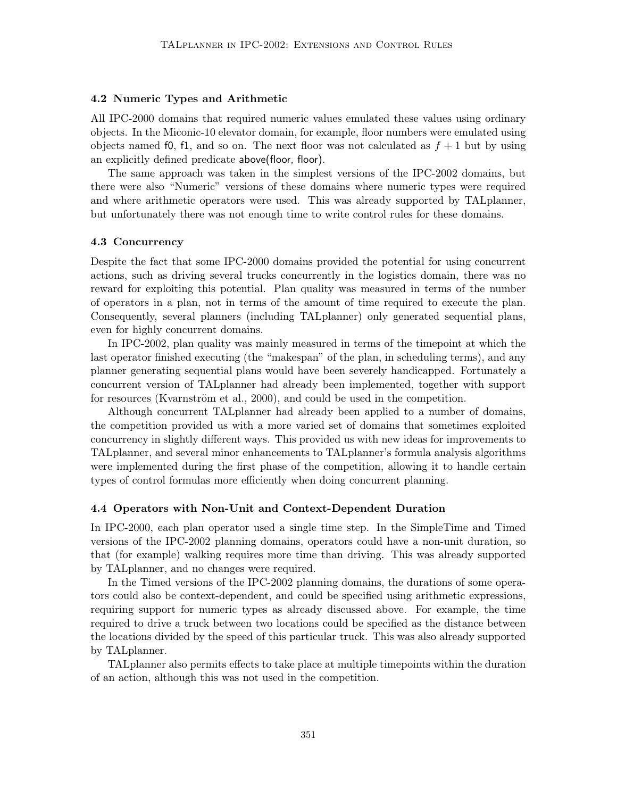### 4.2 Numeric Types and Arithmetic

All IPC-2000 domains that required numeric values emulated these values using ordinary objects. In the Miconic-10 elevator domain, for example, floor numbers were emulated using objects named f0, f1, and so on. The next floor was not calculated as  $f + 1$  but by using an explicitly defined predicate above(floor, floor).

The same approach was taken in the simplest versions of the IPC-2002 domains, but there were also "Numeric" versions of these domains where numeric types were required and where arithmetic operators were used. This was already supported by TALplanner, but unfortunately there was not enough time to write control rules for these domains.

#### 4.3 Concurrency

Despite the fact that some IPC-2000 domains provided the potential for using concurrent actions, such as driving several trucks concurrently in the logistics domain, there was no reward for exploiting this potential. Plan quality was measured in terms of the number of operators in a plan, not in terms of the amount of time required to execute the plan. Consequently, several planners (including TALplanner) only generated sequential plans, even for highly concurrent domains.

In IPC-2002, plan quality was mainly measured in terms of the timepoint at which the last operator finished executing (the "makespan" of the plan, in scheduling terms), and any planner generating sequential plans would have been severely handicapped. Fortunately a concurrent version of TALplanner had already been implemented, together with support for resources (Kvarnström et al., 2000), and could be used in the competition.

Although concurrent TALplanner had already been applied to a number of domains, the competition provided us with a more varied set of domains that sometimes exploited concurrency in slightly different ways. This provided us with new ideas for improvements to TALplanner, and several minor enhancements to TALplanner's formula analysis algorithms were implemented during the first phase of the competition, allowing it to handle certain types of control formulas more efficiently when doing concurrent planning.

#### 4.4 Operators with Non-Unit and Context-Dependent Duration

In IPC-2000, each plan operator used a single time step. In the SimpleTime and Timed versions of the IPC-2002 planning domains, operators could have a non-unit duration, so that (for example) walking requires more time than driving. This was already supported by TALplanner, and no changes were required.

In the Timed versions of the IPC-2002 planning domains, the durations of some operators could also be context-dependent, and could be specified using arithmetic expressions, requiring support for numeric types as already discussed above. For example, the time required to drive a truck between two locations could be specified as the distance between the locations divided by the speed of this particular truck. This was also already supported by TALplanner.

TALplanner also permits effects to take place at multiple timepoints within the duration of an action, although this was not used in the competition.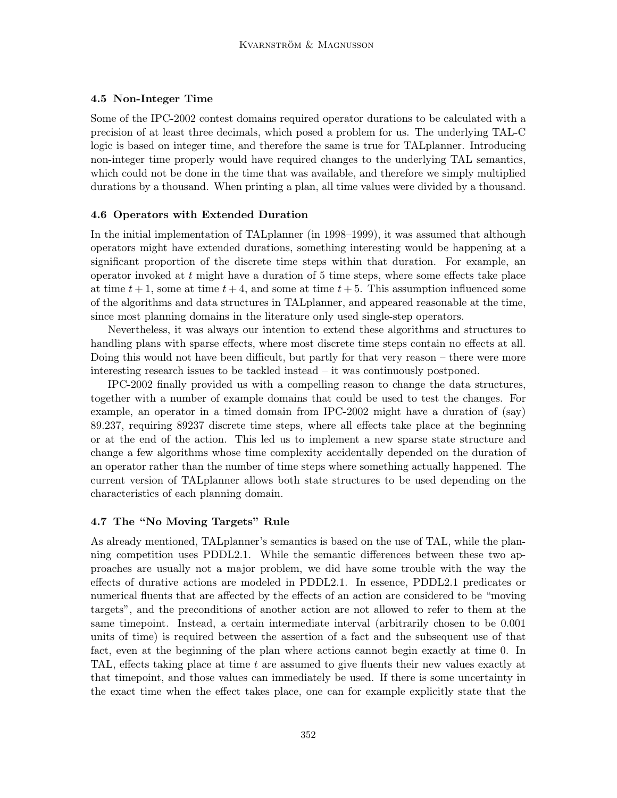### 4.5 Non-Integer Time

Some of the IPC-2002 contest domains required operator durations to be calculated with a precision of at least three decimals, which posed a problem for us. The underlying TAL-C logic is based on integer time, and therefore the same is true for TALplanner. Introducing non-integer time properly would have required changes to the underlying TAL semantics, which could not be done in the time that was available, and therefore we simply multiplied durations by a thousand. When printing a plan, all time values were divided by a thousand.

#### 4.6 Operators with Extended Duration

In the initial implementation of TALplanner (in 1998–1999), it was assumed that although operators might have extended durations, something interesting would be happening at a significant proportion of the discrete time steps within that duration. For example, an operator invoked at  $t$  might have a duration of  $5$  time steps, where some effects take place at time  $t + 1$ , some at time  $t + 4$ , and some at time  $t + 5$ . This assumption influenced some of the algorithms and data structures in TALplanner, and appeared reasonable at the time, since most planning domains in the literature only used single-step operators.

Nevertheless, it was always our intention to extend these algorithms and structures to handling plans with sparse effects, where most discrete time steps contain no effects at all. Doing this would not have been difficult, but partly for that very reason – there were more interesting research issues to be tackled instead – it was continuously postponed.

IPC-2002 finally provided us with a compelling reason to change the data structures, together with a number of example domains that could be used to test the changes. For example, an operator in a timed domain from IPC-2002 might have a duration of (say) 89.237, requiring 89237 discrete time steps, where all effects take place at the beginning or at the end of the action. This led us to implement a new sparse state structure and change a few algorithms whose time complexity accidentally depended on the duration of an operator rather than the number of time steps where something actually happened. The current version of TALplanner allows both state structures to be used depending on the characteristics of each planning domain.

#### 4.7 The "No Moving Targets" Rule

As already mentioned, TALplanner's semantics is based on the use of TAL, while the planning competition uses PDDL2.1. While the semantic differences between these two approaches are usually not a major problem, we did have some trouble with the way the effects of durative actions are modeled in PDDL2.1. In essence, PDDL2.1 predicates or numerical fluents that are affected by the effects of an action are considered to be "moving targets", and the preconditions of another action are not allowed to refer to them at the same timepoint. Instead, a certain intermediate interval (arbitrarily chosen to be 0.001 units of time) is required between the assertion of a fact and the subsequent use of that fact, even at the beginning of the plan where actions cannot begin exactly at time 0. In TAL, effects taking place at time t are assumed to give fluents their new values exactly at that timepoint, and those values can immediately be used. If there is some uncertainty in the exact time when the effect takes place, one can for example explicitly state that the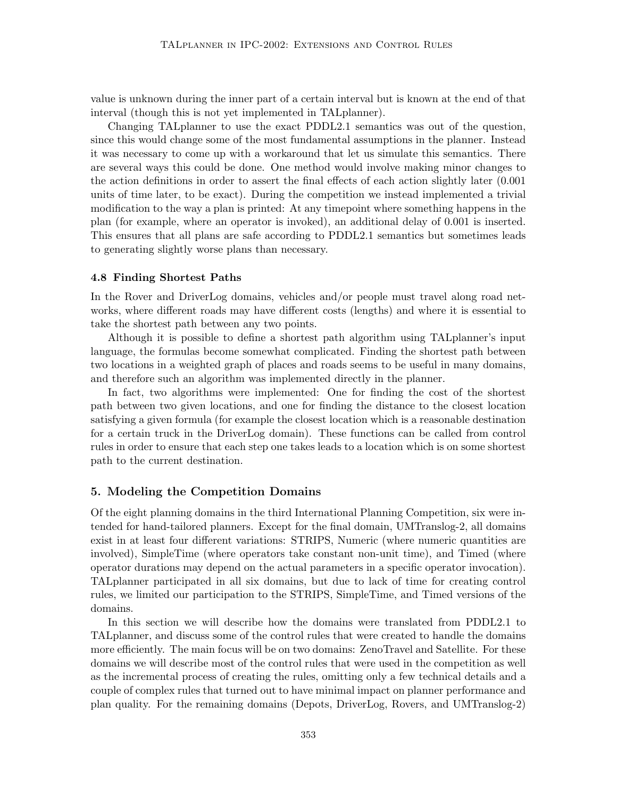value is unknown during the inner part of a certain interval but is known at the end of that interval (though this is not yet implemented in TALplanner).

Changing TALplanner to use the exact PDDL2.1 semantics was out of the question, since this would change some of the most fundamental assumptions in the planner. Instead it was necessary to come up with a workaround that let us simulate this semantics. There are several ways this could be done. One method would involve making minor changes to the action definitions in order to assert the final effects of each action slightly later (0.001 units of time later, to be exact). During the competition we instead implemented a trivial modification to the way a plan is printed: At any timepoint where something happens in the plan (for example, where an operator is invoked), an additional delay of 0.001 is inserted. This ensures that all plans are safe according to PDDL2.1 semantics but sometimes leads to generating slightly worse plans than necessary.

#### 4.8 Finding Shortest Paths

In the Rover and DriverLog domains, vehicles and/or people must travel along road networks, where different roads may have different costs (lengths) and where it is essential to take the shortest path between any two points.

Although it is possible to define a shortest path algorithm using TALplanner's input language, the formulas become somewhat complicated. Finding the shortest path between two locations in a weighted graph of places and roads seems to be useful in many domains, and therefore such an algorithm was implemented directly in the planner.

In fact, two algorithms were implemented: One for finding the cost of the shortest path between two given locations, and one for finding the distance to the closest location satisfying a given formula (for example the closest location which is a reasonable destination for a certain truck in the DriverLog domain). These functions can be called from control rules in order to ensure that each step one takes leads to a location which is on some shortest path to the current destination.

### 5. Modeling the Competition Domains

Of the eight planning domains in the third International Planning Competition, six were intended for hand-tailored planners. Except for the final domain, UMTranslog-2, all domains exist in at least four different variations: STRIPS, Numeric (where numeric quantities are involved), SimpleTime (where operators take constant non-unit time), and Timed (where operator durations may depend on the actual parameters in a specific operator invocation). TALplanner participated in all six domains, but due to lack of time for creating control rules, we limited our participation to the STRIPS, SimpleTime, and Timed versions of the domains.

In this section we will describe how the domains were translated from PDDL2.1 to TALplanner, and discuss some of the control rules that were created to handle the domains more efficiently. The main focus will be on two domains: ZenoTravel and Satellite. For these domains we will describe most of the control rules that were used in the competition as well as the incremental process of creating the rules, omitting only a few technical details and a couple of complex rules that turned out to have minimal impact on planner performance and plan quality. For the remaining domains (Depots, DriverLog, Rovers, and UMTranslog-2)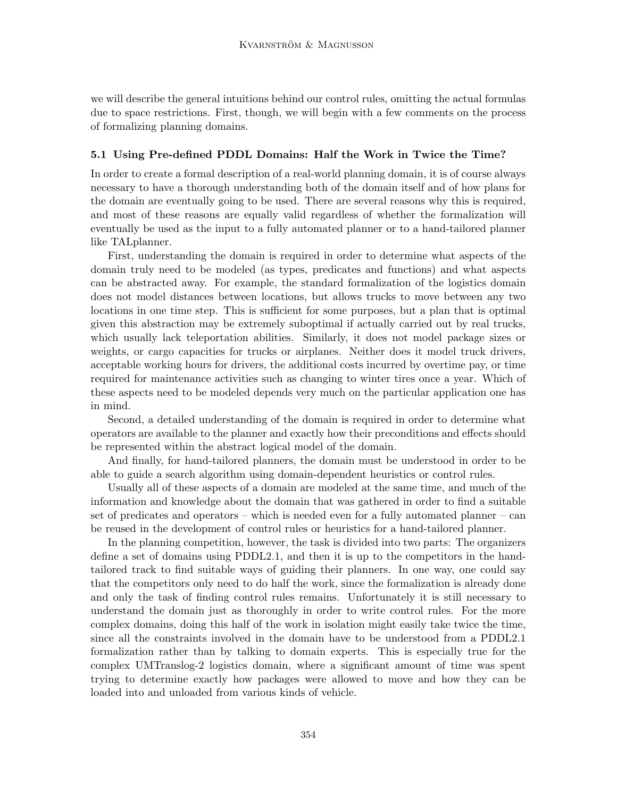we will describe the general intuitions behind our control rules, omitting the actual formulas due to space restrictions. First, though, we will begin with a few comments on the process of formalizing planning domains.

### 5.1 Using Pre-defined PDDL Domains: Half the Work in Twice the Time?

In order to create a formal description of a real-world planning domain, it is of course always necessary to have a thorough understanding both of the domain itself and of how plans for the domain are eventually going to be used. There are several reasons why this is required, and most of these reasons are equally valid regardless of whether the formalization will eventually be used as the input to a fully automated planner or to a hand-tailored planner like TALplanner.

First, understanding the domain is required in order to determine what aspects of the domain truly need to be modeled (as types, predicates and functions) and what aspects can be abstracted away. For example, the standard formalization of the logistics domain does not model distances between locations, but allows trucks to move between any two locations in one time step. This is sufficient for some purposes, but a plan that is optimal given this abstraction may be extremely suboptimal if actually carried out by real trucks, which usually lack teleportation abilities. Similarly, it does not model package sizes or weights, or cargo capacities for trucks or airplanes. Neither does it model truck drivers, acceptable working hours for drivers, the additional costs incurred by overtime pay, or time required for maintenance activities such as changing to winter tires once a year. Which of these aspects need to be modeled depends very much on the particular application one has in mind.

Second, a detailed understanding of the domain is required in order to determine what operators are available to the planner and exactly how their preconditions and effects should be represented within the abstract logical model of the domain.

And finally, for hand-tailored planners, the domain must be understood in order to be able to guide a search algorithm using domain-dependent heuristics or control rules.

Usually all of these aspects of a domain are modeled at the same time, and much of the information and knowledge about the domain that was gathered in order to find a suitable set of predicates and operators – which is needed even for a fully automated planner – can be reused in the development of control rules or heuristics for a hand-tailored planner.

In the planning competition, however, the task is divided into two parts: The organizers define a set of domains using PDDL2.1, and then it is up to the competitors in the handtailored track to find suitable ways of guiding their planners. In one way, one could say that the competitors only need to do half the work, since the formalization is already done and only the task of finding control rules remains. Unfortunately it is still necessary to understand the domain just as thoroughly in order to write control rules. For the more complex domains, doing this half of the work in isolation might easily take twice the time, since all the constraints involved in the domain have to be understood from a PDDL2.1 formalization rather than by talking to domain experts. This is especially true for the complex UMTranslog-2 logistics domain, where a significant amount of time was spent trying to determine exactly how packages were allowed to move and how they can be loaded into and unloaded from various kinds of vehicle.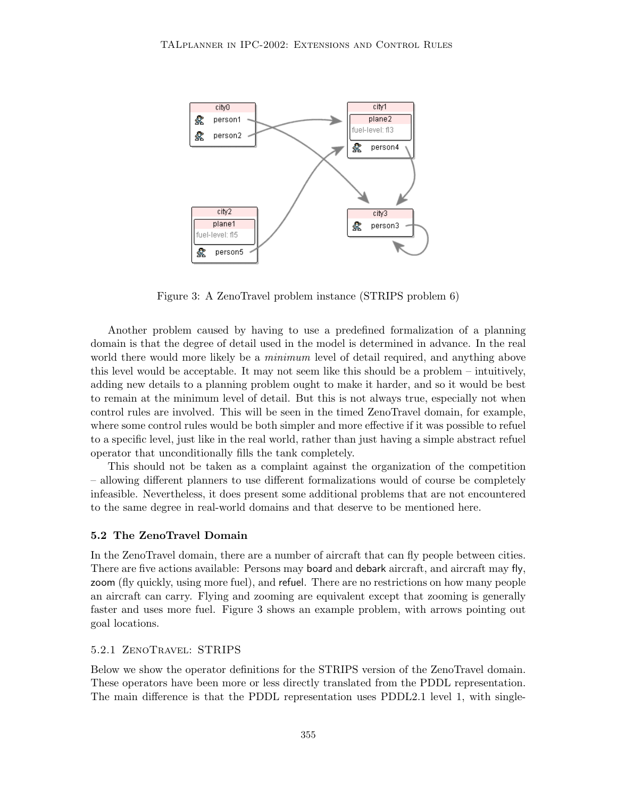

Figure 3: A ZenoTravel problem instance (STRIPS problem 6)

Another problem caused by having to use a predefined formalization of a planning domain is that the degree of detail used in the model is determined in advance. In the real world there would more likely be a *minimum* level of detail required, and anything above this level would be acceptable. It may not seem like this should be a problem – intuitively, adding new details to a planning problem ought to make it harder, and so it would be best to remain at the minimum level of detail. But this is not always true, especially not when control rules are involved. This will be seen in the timed ZenoTravel domain, for example, where some control rules would be both simpler and more effective if it was possible to refuel to a specific level, just like in the real world, rather than just having a simple abstract refuel operator that unconditionally fills the tank completely.

This should not be taken as a complaint against the organization of the competition – allowing different planners to use different formalizations would of course be completely infeasible. Nevertheless, it does present some additional problems that are not encountered to the same degree in real-world domains and that deserve to be mentioned here.

#### 5.2 The ZenoTravel Domain

In the ZenoTravel domain, there are a number of aircraft that can fly people between cities. There are five actions available: Persons may board and debark aircraft, and aircraft may fly, zoom (fly quickly, using more fuel), and refuel. There are no restrictions on how many people an aircraft can carry. Flying and zooming are equivalent except that zooming is generally faster and uses more fuel. Figure 3 shows an example problem, with arrows pointing out goal locations.

#### 5.2.1 ZenoTravel: STRIPS

Below we show the operator definitions for the STRIPS version of the ZenoTravel domain. These operators have been more or less directly translated from the PDDL representation. The main difference is that the PDDL representation uses PDDL2.1 level 1, with single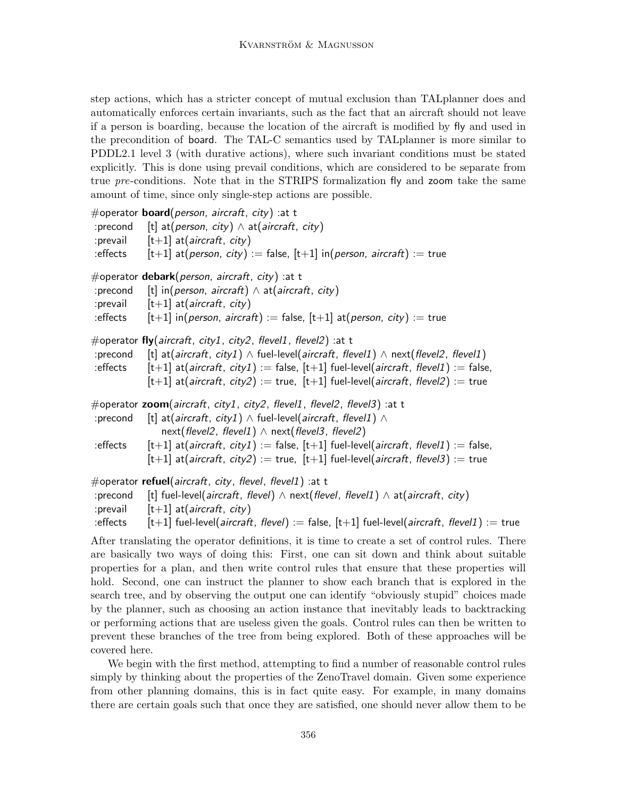step actions, which has a stricter concept of mutual exclusion than TALplanner does and automatically enforces certain invariants, such as the fact that an aircraft should not leave if a person is boarding, because the location of the aircraft is modified by fly and used in the precondition of board. The TAL-C semantics used by TALplanner is more similar to PDDL2.1 level 3 (with durative actions), where such invariant conditions must be stated explicitly. This is done using prevail conditions, which are considered to be separate from true pre-conditions. Note that in the STRIPS formalization fly and zoom take the same amount of time, since only single-step actions are possible.

#operator **board**(*person, aircraft, city*) : at t :precond [t] at(person, city)  $\wedge$  at(aircraft, city) : prevail  $[t+1]$  at (*aircraft*, *city*) :effects  $[t+1]$  at(*person, city*) := false,  $[t+1]$  in(*person, aircraft*) := true #operator **debark**(*person, aircraft, city*) :at t :precond [t] in(person, aircraft)  $\land$  at(aircraft, city) : prevail  $[t+1]$  at (*aircraft*, *city*) :effects  $[t+1]$  in(*person, aircraft*) := false,  $[t+1]$  at(*person, city*) := true #operator fly(aircraft, city1, city2, flevel1, flevel2) :at t :precond [t] at(aircraft, city1)  $\land$  fuel-level(aircraft, flevel1)  $\land$  next(flevel2, flevel1) :effects  $[t+1]$  at(*aircraft, city1*) := false,  $[t+1]$  fuel-level(*aircraft, flevel1*) := false,  $[t+1]$  at(aircraft, city2) := true,  $[t+1]$  fuel-level(aircraft, flevel2) := true #operator zoom(aircraft, city1, city2, flevel1, flevel2, flevel3) :at t :precond [t] at(*aircraft, city1*)  $\land$  fuel-level(*aircraft, flevel1*)  $\land$ next(flevel2, flevel1)  $\land$  next(flevel3, flevel2) :effects  $[t+1]$  at(aircraft, city1) := false,  $[t+1]$  fuel-level(aircraft, flevel1) := false,  $[t+1]$  at(aircraft, city2) := true,  $[t+1]$  fuel-level(aircraft, flevel3) := true #operator refuel(aircraft, city, flevel, flevel1) :at t :precond [t] fuel-level(aircraft, flevel)  $\land$  next(flevel, flevel1)  $\land$  at(aircraft, city) : prevail  $[t+1]$  at (*aircraft*, *city*) :effects  $[t+1]$  fuel-level(aircraft, flevel) := false,  $[t+1]$  fuel-level(aircraft, flevel1) := true

After translating the operator definitions, it is time to create a set of control rules. There are basically two ways of doing this: First, one can sit down and think about suitable properties for a plan, and then write control rules that ensure that these properties will hold. Second, one can instruct the planner to show each branch that is explored in the search tree, and by observing the output one can identify "obviously stupid" choices made by the planner, such as choosing an action instance that inevitably leads to backtracking or performing actions that are useless given the goals. Control rules can then be written to prevent these branches of the tree from being explored. Both of these approaches will be covered here.

We begin with the first method, attempting to find a number of reasonable control rules simply by thinking about the properties of the ZenoTravel domain. Given some experience from other planning domains, this is in fact quite easy. For example, in many domains there are certain goals such that once they are satisfied, one should never allow them to be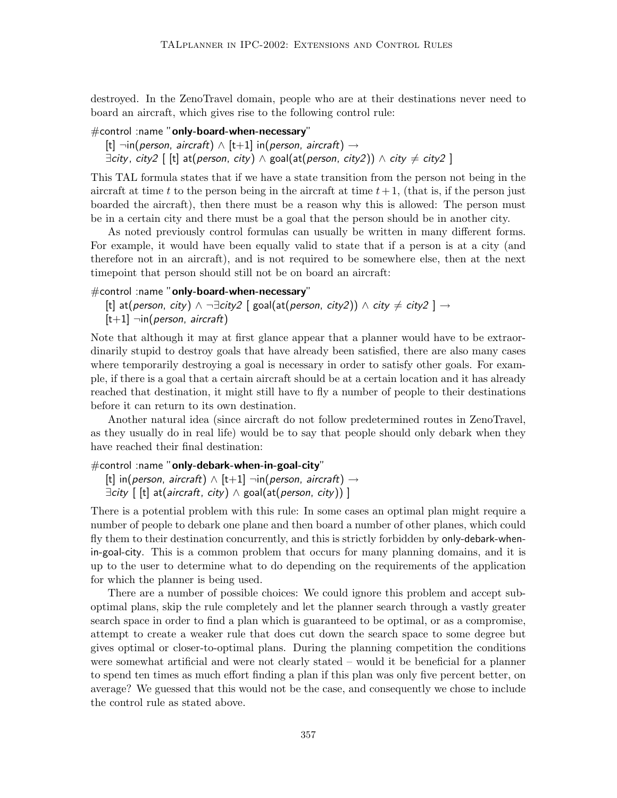destroyed. In the ZenoTravel domain, people who are at their destinations never need to board an aircraft, which gives rise to the following control rule:

#control :name "only-board-when-necessary"

[t]  $\neg$ in(person, aircraft)  $\wedge$  [t+1] in(person, aircraft)  $\rightarrow$  $\exists$ city, city2 [ [t] at(person, city)  $\land$  goal(at(person, city2))  $\land$  city  $\neq$  city2 ]

This TAL formula states that if we have a state transition from the person not being in the aircraft at time t to the person being in the aircraft at time  $t+1$ , (that is, if the person just boarded the aircraft), then there must be a reason why this is allowed: The person must be in a certain city and there must be a goal that the person should be in another city.

As noted previously control formulas can usually be written in many different forms. For example, it would have been equally valid to state that if a person is at a city (and therefore not in an aircraft), and is not required to be somewhere else, then at the next timepoint that person should still not be on board an aircraft:

#### #control :name "only-board-when-necessary"

[t] at(person, city)  $\land \neg \exists$ city2 [ goal(at(person, city2))  $\land$  city  $\neq$  city2 ]  $\rightarrow$  $[t+1]$   $\neg$ in(*person*, *aircraft*)

Note that although it may at first glance appear that a planner would have to be extraordinarily stupid to destroy goals that have already been satisfied, there are also many cases where temporarily destroying a goal is necessary in order to satisfy other goals. For example, if there is a goal that a certain aircraft should be at a certain location and it has already reached that destination, it might still have to fly a number of people to their destinations before it can return to its own destination.

Another natural idea (since aircraft do not follow predetermined routes in ZenoTravel, as they usually do in real life) would be to say that people should only debark when they have reached their final destination:

### #control :name "only-debark-when-in-goal-city"

[t] in(person, aircraft)  $\wedge$  [t+1]  $\neg$ in(person, aircraft)  $\rightarrow$  $\exists$ city  $\lceil$  [t] at(aircraft, city)  $\land$  goal(at(person, city)) ]

There is a potential problem with this rule: In some cases an optimal plan might require a number of people to debark one plane and then board a number of other planes, which could fly them to their destination concurrently, and this is strictly forbidden by only-debark-whenin-goal-city. This is a common problem that occurs for many planning domains, and it is up to the user to determine what to do depending on the requirements of the application for which the planner is being used.

There are a number of possible choices: We could ignore this problem and accept suboptimal plans, skip the rule completely and let the planner search through a vastly greater search space in order to find a plan which is guaranteed to be optimal, or as a compromise, attempt to create a weaker rule that does cut down the search space to some degree but gives optimal or closer-to-optimal plans. During the planning competition the conditions were somewhat artificial and were not clearly stated – would it be beneficial for a planner to spend ten times as much effort finding a plan if this plan was only five percent better, on average? We guessed that this would not be the case, and consequently we chose to include the control rule as stated above.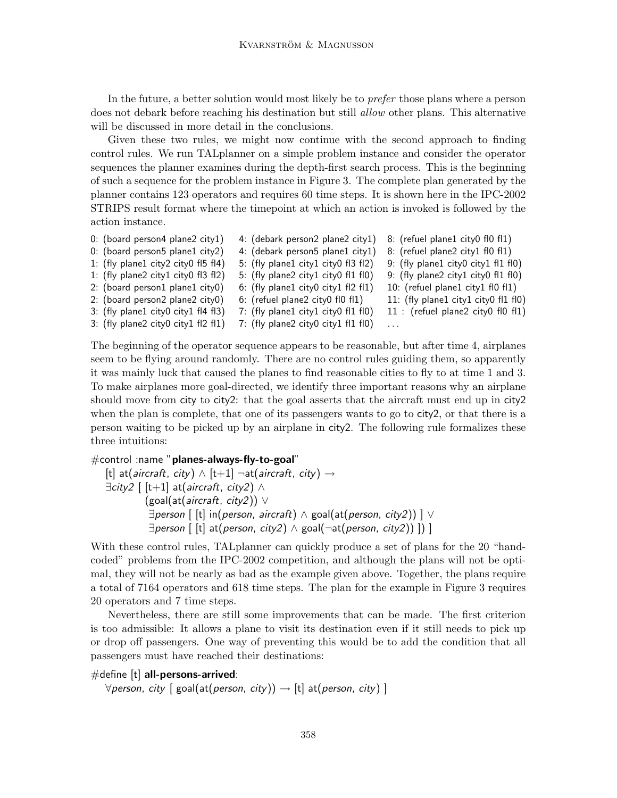In the future, a better solution would most likely be to prefer those plans where a person does not debark before reaching his destination but still *allow* other plans. This alternative will be discussed in more detail in the conclusions.

Given these two rules, we might now continue with the second approach to finding control rules. We run TALplanner on a simple problem instance and consider the operator sequences the planner examines during the depth-first search process. This is the beginning of such a sequence for the problem instance in Figure 3. The complete plan generated by the planner contains 123 operators and requires 60 time steps. It is shown here in the IPC-2002 STRIPS result format where the timepoint at which an action is invoked is followed by the action instance.

| $0:$ (board person4 plane2 city1)   | 4: (debark person2 plane2 city1)    | 8: (refuel plane1 city0 fl0 fl1)     |
|-------------------------------------|-------------------------------------|--------------------------------------|
| 0: (board person5 plane1 city2)     | 4: (debark person5 plane1 city1)    | 8: (refuel plane2 city1 fl0 fl1)     |
| 1: (fly plane1 city2 city0 fl5 fl4) | 5: (fly plane1 city1 city0 fl3 fl2) | 9: (fly plane1 city0 city1 fl1 fl0)  |
| 1: (fly plane2 city1 city0 fl3 fl2) | 5: (fly plane2 city1 city0 fl1 fl0) | 9: (fly plane2 city1 city0 fl1 fl0)  |
| 2: (board person1 plane1 city0)     | 6: (fly plane1 city0 city1 fl2 fl1) | 10: (refuel plane1 city1 fl0 fl1)    |
| 2: (board person2 plane2 city0)     | 6: (refuel plane2 city0 fl0 fl1)    | 11: (fly plane1 city1 city0 fl1 fl0) |
| 3: (fly plane1 city0 city1 fl4 fl3) | 7: (fly plane1 city1 city0 fl1 fl0) | 11 : (refuel plane2 city0 fl0 fl1)   |
| 3: (fly plane2 city0 city1 fl2 fl1) | 7: (fly plane2 city0 city1 fl1 fl0) | .                                    |

The beginning of the operator sequence appears to be reasonable, but after time 4, airplanes seem to be flying around randomly. There are no control rules guiding them, so apparently it was mainly luck that caused the planes to find reasonable cities to fly to at time 1 and 3. To make airplanes more goal-directed, we identify three important reasons why an airplane should move from city to city2: that the goal asserts that the aircraft must end up in city2 when the plan is complete, that one of its passengers wants to go to city2, or that there is a person waiting to be picked up by an airplane in city2. The following rule formalizes these three intuitions:

```
#control :name "planes-always-fly-to-goal"
```
[t] at(*aircraft, city*)  $\land$  [t+1]  $\neg$ at(*aircraft, city*)  $\rightarrow$  $\exists$ city2 [ [t+1] at(aircraft, city2)  $\wedge$  $(g \text{o}al(\text{at}(aircraft, city2)) \vee$  $\exists$  person  $\lceil \cdot \frac{1}{k} \rceil$  in(person, aircraft)  $\wedge$  goal(at(person, city2))  $\lceil \vee \frac{1}{k} \rceil$  $\exists$  person  $\lceil$  [t] at(person, city2)  $\land$  goal( $\neg$ at(person, city2)) ]) ]

With these control rules, TAL planner can quickly produce a set of plans for the 20 "handcoded" problems from the IPC-2002 competition, and although the plans will not be optimal, they will not be nearly as bad as the example given above. Together, the plans require a total of 7164 operators and 618 time steps. The plan for the example in Figure 3 requires 20 operators and 7 time steps.

Nevertheless, there are still some improvements that can be made. The first criterion is too admissible: It allows a plane to visit its destination even if it still needs to pick up or drop off passengers. One way of preventing this would be to add the condition that all passengers must have reached their destinations:

 $#$ define [t] all-persons-arrived:

 $\forall$ person, city [ goal(at(person, city))  $\rightarrow$  [t] at(person, city) ]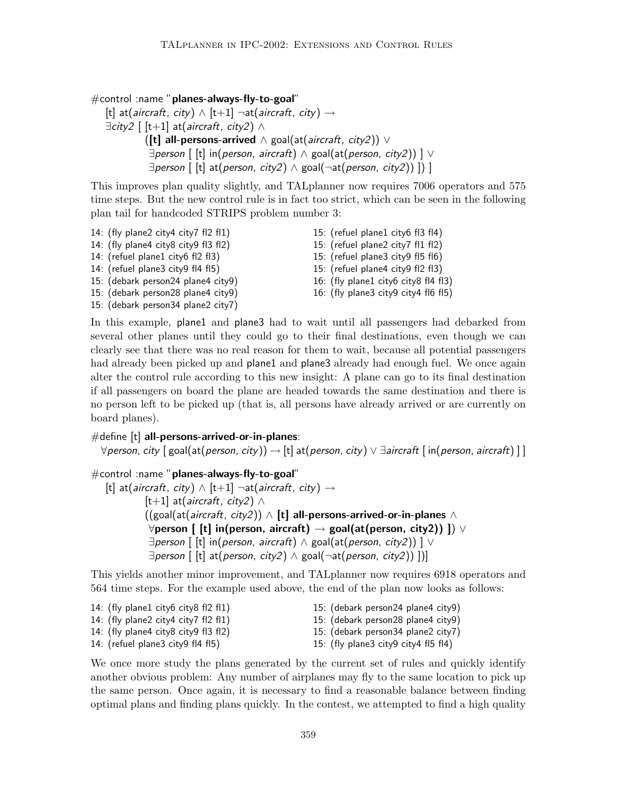#control :name "planes-always-fly-to-goal"

```
[t] at(aircraft, city) \wedge [t+1] ¬at(aircraft, city) \rightarrow\existscity2 [ [t+1] at(aircraft, city2) \wedge([t] all-persons-arrived \wedge goal(at(aircraft, city2)) \vee\existsperson \lceil [t] in(person, aircraft) \wedge goal(at(person, city2)) ] \vee\exists person \lceil [t] at(person, city2) \wedge goal(\negat(person, city2)) ]) ]
```
This improves plan quality slightly, and TALplanner now requires 7006 operators and 575 time steps. But the new control rule is in fact too strict, which can be seen in the following plan tail for handcoded STRIPS problem number 3:

14: (fly plane2 city4 city7 fl2 fl1) 14: (fly plane4 city8 city9 fl3 fl2) 14: (refuel plane1 city6 fl2 fl3) 14: (refuel plane3 city9 fl4 fl5) 15: (debark person24 plane4 city9) 15: (debark person28 plane4 city9) 15: (debark person34 plane2 city7) 15: (refuel plane1 city6 fl3 fl4) 15: (refuel plane2 city7 fl1 fl2) 15: (refuel plane3 city9 fl5 fl6) 15: (refuel plane4 city9 fl2 fl3) 16: (fly plane1 city6 city8 fl4 fl3) 16: (fly plane3 city9 city4 fl6 fl5)

In this example, plane1 and plane3 had to wait until all passengers had debarked from several other planes until they could go to their final destinations, even though we can clearly see that there was no real reason for them to wait, because all potential passengers had already been picked up and **plane1** and **plane3** already had enough fuel. We once again alter the control rule according to this new insight: A plane can go to its final destination if all passengers on board the plane are headed towards the same destination and there is no person left to be picked up (that is, all persons have already arrived or are currently on board planes).

## $#$ define  $[t]$  all-persons-arrived-or-in-planes:

 $\forall$ person, city [ goal(at(person, city))  $\rightarrow$  [t] at(person, city)  $\lor$  ∃aircraft [ in(person, aircraft) ] ]

```
#control :name "planes-always-fly-to-goal"
     [t] at(aircraft, city) \wedge [t+1] \negat(aircraft, city) \rightarrow[t+1] at(aircraft, city2) ∧
                  ((goal(at(aircraft, city2)) \wedge [t] all-persons-arrived-or-in-planes \wedge\forallperson [ [t] in(person, aircraft) \rightarrow goal(at(person, city2)) ]) \lor\exists person \lceil \text{[t]} \text{ in}(\text{person}, \text{aircraft}) \wedge \text{goal}(\text{at}(\text{person}, \text{city2})) \rceil\exists person \left[ \begin{array}{c} \text{[t]} \text{ at} \text{ (person, city2)} \land \text{goal} \text{ (} \text{net} \text{ (person, city2)} \text{ )} \end{array} \right]
```
This yields another minor improvement, and TALplanner now requires 6918 operators and 564 time steps. For the example used above, the end of the plan now looks as follows:

| 14: (fly plane1 city6 city8 fl2 fl1) | 15: (debark person24 plane4 city9)   |
|--------------------------------------|--------------------------------------|
| 14: (fly plane2 city4 city7 fl2 fl1) | 15: (debark person28 plane4 city9)   |
| 14: (fly plane4 city8 city9 fl3 fl2) | 15: (debark person34 plane2 city7)   |
| 14: (refuel plane3 city9 fl4 fl5)    | 15: (fly plane3 city9 city4 fl5 fl4) |

We once more study the plans generated by the current set of rules and quickly identify another obvious problem: Any number of airplanes may fly to the same location to pick up the same person. Once again, it is necessary to find a reasonable balance between finding optimal plans and finding plans quickly. In the contest, we attempted to find a high quality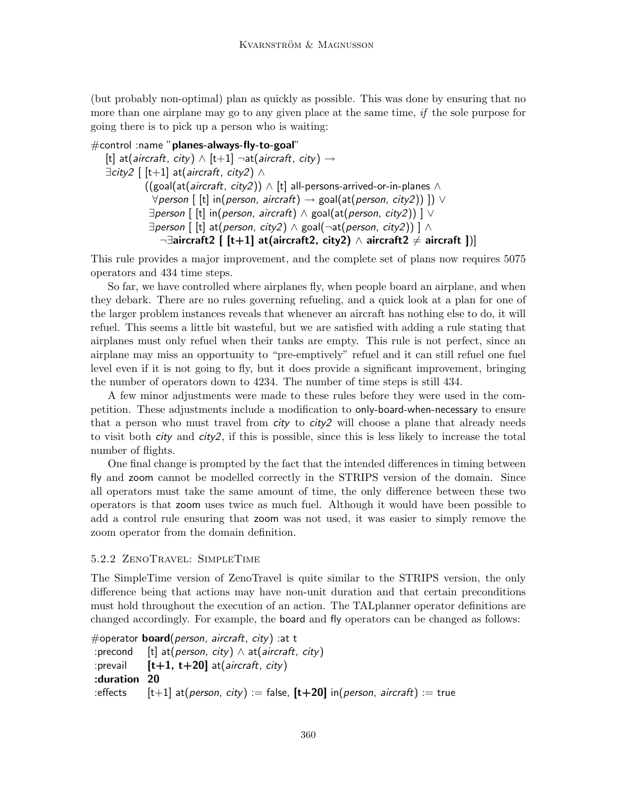(but probably non-optimal) plan as quickly as possible. This was done by ensuring that no more than one airplane may go to any given place at the same time, if the sole purpose for going there is to pick up a person who is waiting:

```
\#control :name "planes-always-fly-to-goal"
   [t] at(aircraft, city) \land [t+1] \negat(aircraft, city) \rightarrow\existscity2 [ [t+1] at(aircraft, city2) \wedge((goal(at(aircraft, city2)) \land [t] all-persons-arrived-or-in-planes \land\forall person [ [t] in(person, aircraft) \rightarrow goal(at(person, city2)) ]) \lor\exists person \lceil [t] in(person, aircraft) \wedge goal(at(person, city2)) ] \vee\exists person [ [t] at(person, city2) \land goal(¬at(person, city2)) ] \land¬∃aircraft2 [ [t+1] at(aircraft2, city2) \land aircraft2 \neq aircraft ])]
```
This rule provides a major improvement, and the complete set of plans now requires 5075 operators and 434 time steps.

So far, we have controlled where airplanes fly, when people board an airplane, and when they debark. There are no rules governing refueling, and a quick look at a plan for one of the larger problem instances reveals that whenever an aircraft has nothing else to do, it will refuel. This seems a little bit wasteful, but we are satisfied with adding a rule stating that airplanes must only refuel when their tanks are empty. This rule is not perfect, since an airplane may miss an opportunity to "pre-emptively" refuel and it can still refuel one fuel level even if it is not going to fly, but it does provide a significant improvement, bringing the number of operators down to 4234. The number of time steps is still 434.

A few minor adjustments were made to these rules before they were used in the competition. These adjustments include a modification to only-board-when-necessary to ensure that a person who must travel from  $\dot{c}$  ty to  $\dot{c}$  ity  $\dot{c}$  will choose a plane that already needs to visit both city and city2, if this is possible, since this is less likely to increase the total number of flights.

One final change is prompted by the fact that the intended differences in timing between fly and zoom cannot be modelled correctly in the STRIPS version of the domain. Since all operators must take the same amount of time, the only difference between these two operators is that zoom uses twice as much fuel. Although it would have been possible to add a control rule ensuring that zoom was not used, it was easier to simply remove the zoom operator from the domain definition.

## 5.2.2 ZenoTravel: SimpleTime

The SimpleTime version of ZenoTravel is quite similar to the STRIPS version, the only difference being that actions may have non-unit duration and that certain preconditions must hold throughout the execution of an action. The TALplanner operator definitions are changed accordingly. For example, the board and fly operators can be changed as follows:

```
#operator board(person, aircraft, city) :at t
:precond [t] at(person, city) \land at(aircraft, city)
: prevail [t+1, t+20] at (aircraft, city)
:duration 20
:effects [t+1] at(person, city) := false, [t+20] in(person, aircraft) := true
```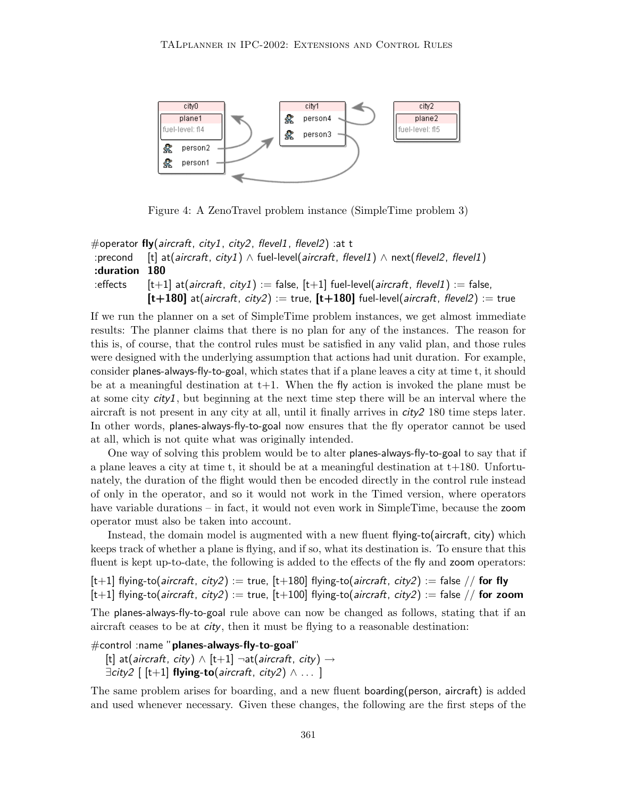

Figure 4: A ZenoTravel problem instance (SimpleTime problem 3)

```
#operator fly(aircraft, city1, city2, flevel1, flevel2) :at t
:precond [t] at(aircraft, city1) \land fuel-level(aircraft, flevel1) \land next(flevel2, flevel1)
:duration 180
:effects [t+1] at(aircraft, city1) := false, [t+1] fuel-level(aircraft, flevel1) := false,
             [t+180] at(aircraft, city2) := true, [t+180] fuel-level(aircraft, flevel2) := true
```
If we run the planner on a set of SimpleTime problem instances, we get almost immediate results: The planner claims that there is no plan for any of the instances. The reason for this is, of course, that the control rules must be satisfied in any valid plan, and those rules were designed with the underlying assumption that actions had unit duration. For example, consider planes-always-fly-to-goal, which states that if a plane leaves a city at time t, it should be at a meaningful destination at  $t+1$ . When the fly action is invoked the plane must be at some city city1, but beginning at the next time step there will be an interval where the aircraft is not present in any city at all, until it finally arrives in city2 180 time steps later. In other words, planes-always-fly-to-goal now ensures that the fly operator cannot be used at all, which is not quite what was originally intended.

One way of solving this problem would be to alter planes-always-fly-to-goal to say that if a plane leaves a city at time t, it should be at a meaningful destination at  $t+180$ . Unfortunately, the duration of the flight would then be encoded directly in the control rule instead of only in the operator, and so it would not work in the Timed version, where operators have variable durations – in fact, it would not even work in SimpleTime, because the zoom operator must also be taken into account.

Instead, the domain model is augmented with a new fluent flying-to(aircraft, city) which keeps track of whether a plane is flying, and if so, what its destination is. To ensure that this fluent is kept up-to-date, the following is added to the effects of the fly and zoom operators:

 $[t+1]$  flying-to(*aircraft*, *city2*) := true,  $[t+180]$  flying-to(*aircraft*, *city2*) := false // **for fly**  $[t+1]$  flying-to(*aircraft*, *city2*) := true,  $[t+100]$  flying-to(*aircraft*, *city2*) := false // for zoom

The planes-always-fly-to-goal rule above can now be changed as follows, stating that if an aircraft ceases to be at  $\dot{c}$ ty, then it must be flying to a reasonable destination:

#control :name "planes-always-fly-to-goal"

```
[t] at(aircraft, city) \land [t+1] \negat(aircraft, city) \rightarrow\existscity2 \lceil [t+1] flying-to(aircraft, city2) \wedge \dots ]
```
The same problem arises for boarding, and a new fluent boarding(person, aircraft) is added and used whenever necessary. Given these changes, the following are the first steps of the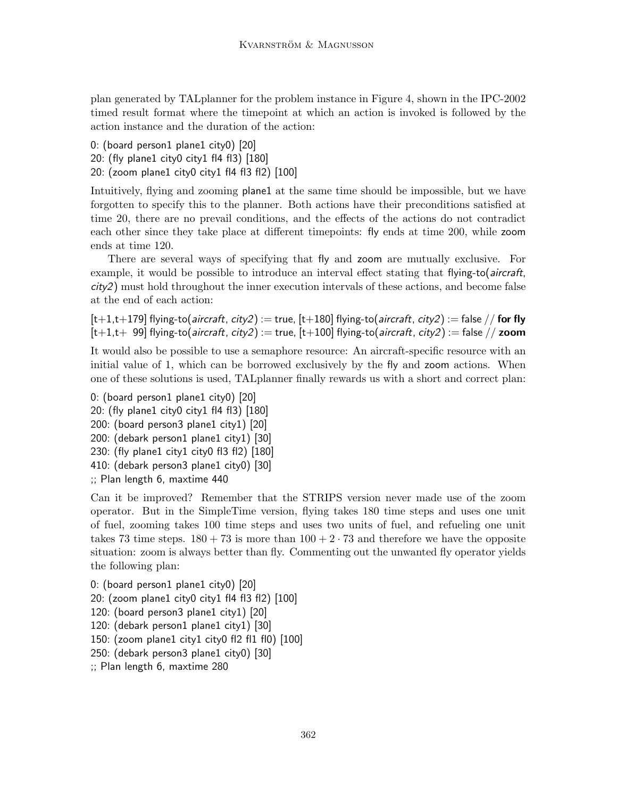plan generated by TALplanner for the problem instance in Figure 4, shown in the IPC-2002 timed result format where the timepoint at which an action is invoked is followed by the action instance and the duration of the action:

- 0: (board person1 plane1 city0) [20]
- 20: (fly plane1 city0 city1 fl4 fl3) [180]
- 20: (zoom plane1 city0 city1 fl4 fl3 fl2) [100]

Intuitively, flying and zooming plane1 at the same time should be impossible, but we have forgotten to specify this to the planner. Both actions have their preconditions satisfied at time 20, there are no prevail conditions, and the effects of the actions do not contradict each other since they take place at different timepoints: fly ends at time 200, while zoom ends at time 120.

There are several ways of specifying that fly and zoom are mutually exclusive. For example, it would be possible to introduce an interval effect stating that flying-to(*aircraft*, city2) must hold throughout the inner execution intervals of these actions, and become false at the end of each action:

 $[t+1,t+179]$  flying-to(*aircraft*, *city2*) := true,  $[t+180]$  flying-to(*aircraft*, *city2*) := false // **for fly**  $[t+1,t+ 99]$  flying-to(aircraft, city2) := true,  $[t+100]$  flying-to(aircraft, city2) := false // zoom

It would also be possible to use a semaphore resource: An aircraft-specific resource with an initial value of 1, which can be borrowed exclusively by the fly and zoom actions. When one of these solutions is used, TALplanner finally rewards us with a short and correct plan:

0: (board person1 plane1 city0) [20] 20: (fly plane1 city0 city1 fl4 fl3) [180] 200: (board person3 plane1 city1) [20] 200: (debark person1 plane1 city1) [30] 230: (fly plane1 city1 city0 fl3 fl2) [180] 410: (debark person3 plane1 city0) [30] ;; Plan length 6, maxtime 440

Can it be improved? Remember that the STRIPS version never made use of the zoom operator. But in the SimpleTime version, flying takes 180 time steps and uses one unit of fuel, zooming takes 100 time steps and uses two units of fuel, and refueling one unit takes 73 time steps.  $180 + 73$  is more than  $100 + 2 \cdot 73$  and therefore we have the opposite situation: zoom is always better than fly. Commenting out the unwanted fly operator yields the following plan:

0: (board person1 plane1 city0) [20] 20: (zoom plane1 city0 city1 fl4 fl3 fl2) [100] 120: (board person3 plane1 city1) [20] 120: (debark person1 plane1 city1) [30] 150: (zoom plane1 city1 city0 fl2 fl1 fl0) [100] 250: (debark person3 plane1 city0) [30] ;; Plan length 6, maxtime 280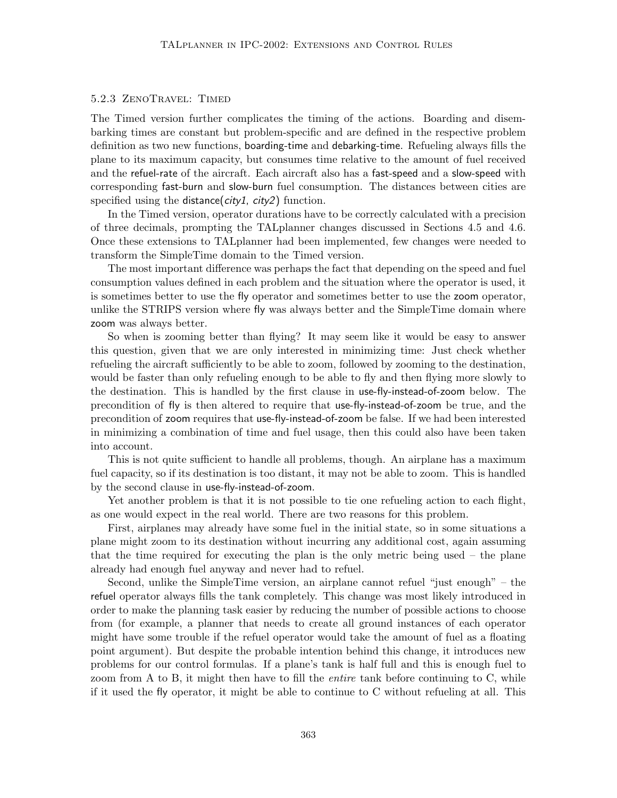#### 5.2.3 ZenoTravel: Timed

The Timed version further complicates the timing of the actions. Boarding and disembarking times are constant but problem-specific and are defined in the respective problem definition as two new functions, boarding-time and debarking-time. Refueling always fills the plane to its maximum capacity, but consumes time relative to the amount of fuel received and the refuel-rate of the aircraft. Each aircraft also has a fast-speed and a slow-speed with corresponding fast-burn and slow-burn fuel consumption. The distances between cities are specified using the distance( $city1$ ,  $city2$ ) function.

In the Timed version, operator durations have to be correctly calculated with a precision of three decimals, prompting the TALplanner changes discussed in Sections 4.5 and 4.6. Once these extensions to TALplanner had been implemented, few changes were needed to transform the SimpleTime domain to the Timed version.

The most important difference was perhaps the fact that depending on the speed and fuel consumption values defined in each problem and the situation where the operator is used, it is sometimes better to use the fly operator and sometimes better to use the zoom operator, unlike the STRIPS version where fly was always better and the SimpleTime domain where zoom was always better.

So when is zooming better than flying? It may seem like it would be easy to answer this question, given that we are only interested in minimizing time: Just check whether refueling the aircraft sufficiently to be able to zoom, followed by zooming to the destination, would be faster than only refueling enough to be able to fly and then flying more slowly to the destination. This is handled by the first clause in use-fly-instead-of-zoom below. The precondition of fly is then altered to require that use-fly-instead-of-zoom be true, and the precondition of zoom requires that use-fly-instead-of-zoom be false. If we had been interested in minimizing a combination of time and fuel usage, then this could also have been taken into account.

This is not quite sufficient to handle all problems, though. An airplane has a maximum fuel capacity, so if its destination is too distant, it may not be able to zoom. This is handled by the second clause in use-fly-instead-of-zoom.

Yet another problem is that it is not possible to tie one refueling action to each flight, as one would expect in the real world. There are two reasons for this problem.

First, airplanes may already have some fuel in the initial state, so in some situations a plane might zoom to its destination without incurring any additional cost, again assuming that the time required for executing the plan is the only metric being used – the plane already had enough fuel anyway and never had to refuel.

Second, unlike the SimpleTime version, an airplane cannot refuel "just enough" – the refuel operator always fills the tank completely. This change was most likely introduced in order to make the planning task easier by reducing the number of possible actions to choose from (for example, a planner that needs to create all ground instances of each operator might have some trouble if the refuel operator would take the amount of fuel as a floating point argument). But despite the probable intention behind this change, it introduces new problems for our control formulas. If a plane's tank is half full and this is enough fuel to zoom from A to B, it might then have to fill the *entire* tank before continuing to C, while if it used the fly operator, it might be able to continue to C without refueling at all. This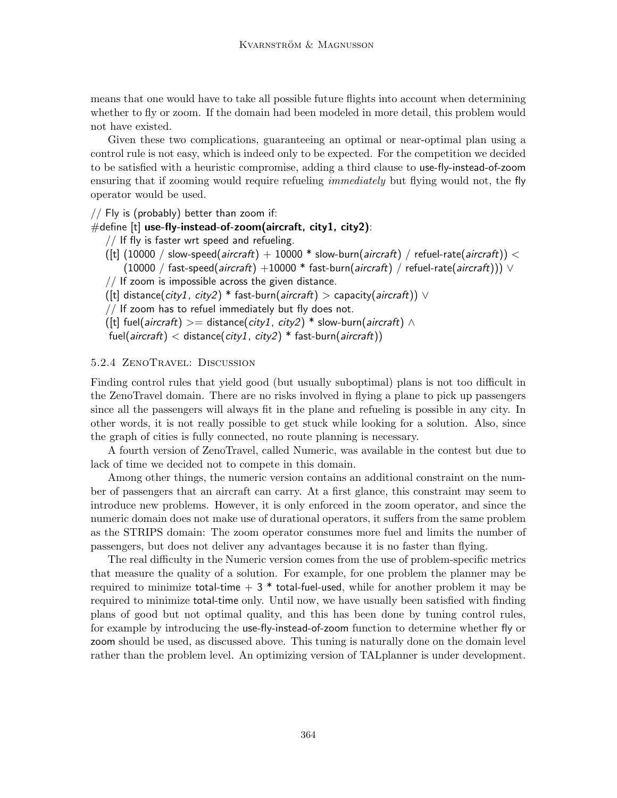means that one would have to take all possible future flights into account when determining whether to fly or zoom. If the domain had been modeled in more detail, this problem would not have existed.

Given these two complications, guaranteeing an optimal or near-optimal plan using a control rule is not easy, which is indeed only to be expected. For the competition we decided to be satisfied with a heuristic compromise, adding a third clause to use-fly-instead-of-zoom ensuring that if zooming would require refueling *immediately* but flying would not, the fly operator would be used.

 $//$  Fly is (probably) better than zoom if:

## #define [t] use-fly-instead-of-zoom(aircraft, city1, city2):

 $\frac{1}{1}$  If fly is faster wrt speed and refueling.

- $(\text{[t]} (10000 / \text{slow-speed}(aircraft) + 10000 * \text{slow-burn}(aircraft) / \text{refuel-rate}(aircraft)) <$  $(10000 / fast-speed(*aircraft*) +10000 * fast-burn(*aircraft*) / refuel-rate(*aircraft*))) \lor$
- $//$  If zoom is impossible across the given distance.
- ([t] distance(city1, city2) \* fast-burn(aircraft) > capacity(aircraft))  $\vee$
- // If zoom has to refuel immediately but fly does not.
- ([t] fuel(aircraft) >= distance(city1, city2) \* slow-burn(aircraft)  $\wedge$
- fuel(aircraft) < distance(city1, city2) \* fast-burn(aircraft))

#### 5.2.4 ZenoTravel: Discussion

Finding control rules that yield good (but usually suboptimal) plans is not too difficult in the ZenoTravel domain. There are no risks involved in flying a plane to pick up passengers since all the passengers will always fit in the plane and refueling is possible in any city. In other words, it is not really possible to get stuck while looking for a solution. Also, since the graph of cities is fully connected, no route planning is necessary.

A fourth version of ZenoTravel, called Numeric, was available in the contest but due to lack of time we decided not to compete in this domain.

Among other things, the numeric version contains an additional constraint on the number of passengers that an aircraft can carry. At a first glance, this constraint may seem to introduce new problems. However, it is only enforced in the zoom operator, and since the numeric domain does not make use of durational operators, it suffers from the same problem as the STRIPS domain: The zoom operator consumes more fuel and limits the number of passengers, but does not deliver any advantages because it is no faster than flying.

The real difficulty in the Numeric version comes from the use of problem-specific metrics that measure the quality of a solution. For example, for one problem the planner may be required to minimize total-time  $+3$  \* total-fuel-used, while for another problem it may be required to minimize total-time only. Until now, we have usually been satisfied with finding plans of good but not optimal quality, and this has been done by tuning control rules, for example by introducing the use-fly-instead-of-zoom function to determine whether fly or zoom should be used, as discussed above. This tuning is naturally done on the domain level rather than the problem level. An optimizing version of TALplanner is under development.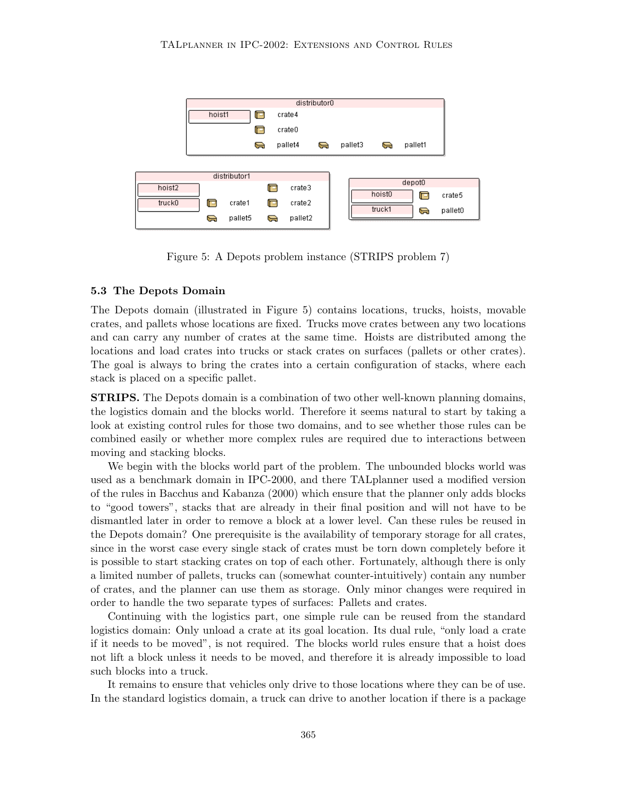

Figure 5: A Depots problem instance (STRIPS problem 7)

#### 5.3 The Depots Domain

The Depots domain (illustrated in Figure 5) contains locations, trucks, hoists, movable crates, and pallets whose locations are fixed. Trucks move crates between any two locations and can carry any number of crates at the same time. Hoists are distributed among the locations and load crates into trucks or stack crates on surfaces (pallets or other crates). The goal is always to bring the crates into a certain configuration of stacks, where each stack is placed on a specific pallet.

STRIPS. The Depots domain is a combination of two other well-known planning domains, the logistics domain and the blocks world. Therefore it seems natural to start by taking a look at existing control rules for those two domains, and to see whether those rules can be combined easily or whether more complex rules are required due to interactions between moving and stacking blocks.

We begin with the blocks world part of the problem. The unbounded blocks world was used as a benchmark domain in IPC-2000, and there TALplanner used a modified version of the rules in Bacchus and Kabanza (2000) which ensure that the planner only adds blocks to "good towers", stacks that are already in their final position and will not have to be dismantled later in order to remove a block at a lower level. Can these rules be reused in the Depots domain? One prerequisite is the availability of temporary storage for all crates, since in the worst case every single stack of crates must be torn down completely before it is possible to start stacking crates on top of each other. Fortunately, although there is only a limited number of pallets, trucks can (somewhat counter-intuitively) contain any number of crates, and the planner can use them as storage. Only minor changes were required in order to handle the two separate types of surfaces: Pallets and crates.

Continuing with the logistics part, one simple rule can be reused from the standard logistics domain: Only unload a crate at its goal location. Its dual rule, "only load a crate if it needs to be moved", is not required. The blocks world rules ensure that a hoist does not lift a block unless it needs to be moved, and therefore it is already impossible to load such blocks into a truck.

It remains to ensure that vehicles only drive to those locations where they can be of use. In the standard logistics domain, a truck can drive to another location if there is a package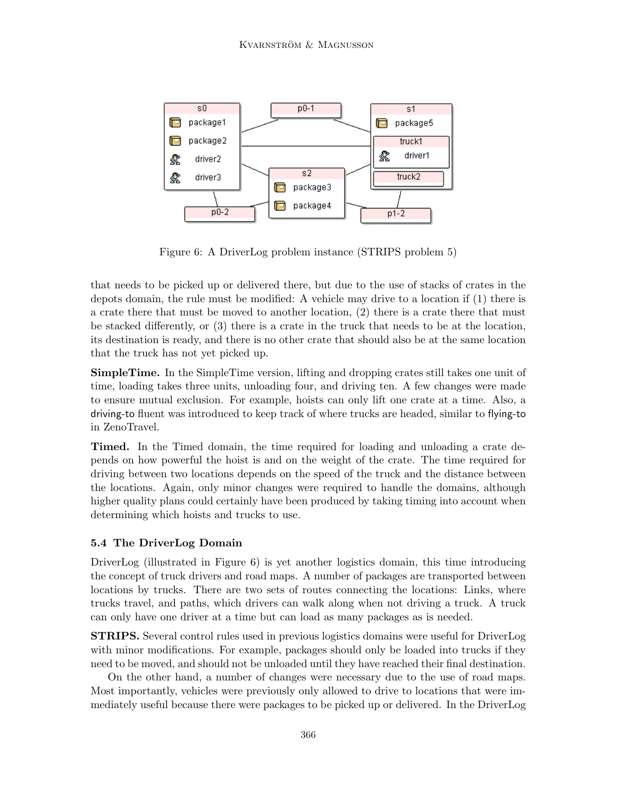

Figure 6: A DriverLog problem instance (STRIPS problem 5)

that needs to be picked up or delivered there, but due to the use of stacks of crates in the depots domain, the rule must be modified: A vehicle may drive to a location if (1) there is a crate there that must be moved to another location, (2) there is a crate there that must be stacked differently, or (3) there is a crate in the truck that needs to be at the location, its destination is ready, and there is no other crate that should also be at the same location that the truck has not yet picked up.

SimpleTime. In the SimpleTime version, lifting and dropping crates still takes one unit of time, loading takes three units, unloading four, and driving ten. A few changes were made to ensure mutual exclusion. For example, hoists can only lift one crate at a time. Also, a driving-to fluent was introduced to keep track of where trucks are headed, similar to flying-to in ZenoTravel.

Timed. In the Timed domain, the time required for loading and unloading a crate depends on how powerful the hoist is and on the weight of the crate. The time required for driving between two locations depends on the speed of the truck and the distance between the locations. Again, only minor changes were required to handle the domains, although higher quality plans could certainly have been produced by taking timing into account when determining which hoists and trucks to use.

## 5.4 The DriverLog Domain

DriverLog (illustrated in Figure 6) is yet another logistics domain, this time introducing the concept of truck drivers and road maps. A number of packages are transported between locations by trucks. There are two sets of routes connecting the locations: Links, where trucks travel, and paths, which drivers can walk along when not driving a truck. A truck can only have one driver at a time but can load as many packages as is needed.

STRIPS. Several control rules used in previous logistics domains were useful for DriverLog with minor modifications. For example, packages should only be loaded into trucks if they need to be moved, and should not be unloaded until they have reached their final destination.

On the other hand, a number of changes were necessary due to the use of road maps. Most importantly, vehicles were previously only allowed to drive to locations that were immediately useful because there were packages to be picked up or delivered. In the DriverLog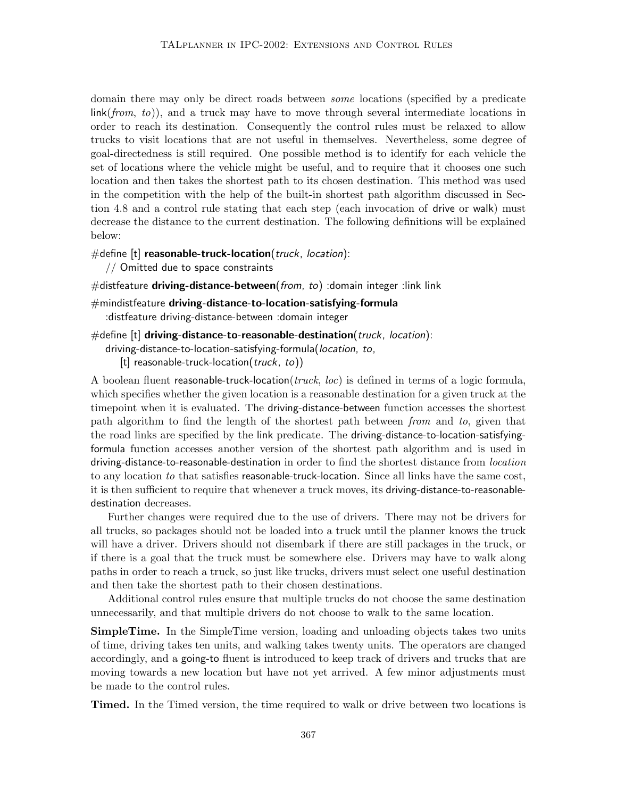domain there may only be direct roads between some locations (specified by a predicate  $\lim k(from, to)$ , and a truck may have to move through several intermediate locations in order to reach its destination. Consequently the control rules must be relaxed to allow trucks to visit locations that are not useful in themselves. Nevertheless, some degree of goal-directedness is still required. One possible method is to identify for each vehicle the set of locations where the vehicle might be useful, and to require that it chooses one such location and then takes the shortest path to its chosen destination. This method was used in the competition with the help of the built-in shortest path algorithm discussed in Section 4.8 and a control rule stating that each step (each invocation of drive or walk) must decrease the distance to the current destination. The following definitions will be explained below:

#### $\#$ define [t] reasonable-truck-location(truck, location):

// Omitted due to space constraints

#distfeature driving-distance-between(from, to) :domain integer :link link

 $#$ mindistfeature driving-distance-to-location-satisfying-formula :distfeature driving-distance-between :domain integer

```
#define [t] driving-distance-to-reasonable-destination(truck, location):
```
driving-distance-to-location-satisfying-formula(location, to,

[t] reasonable-truck-location( $truek, to$ ))

A boolean fluent reasonable-truck-location(truck, loc) is defined in terms of a logic formula, which specifies whether the given location is a reasonable destination for a given truck at the timepoint when it is evaluated. The driving-distance-between function accesses the shortest path algorithm to find the length of the shortest path between from and to, given that the road links are specified by the link predicate. The driving-distance-to-location-satisfyingformula function accesses another version of the shortest path algorithm and is used in driving-distance-to-reasonable-destination in order to find the shortest distance from *location* to any location to that satisfies reasonable-truck-location. Since all links have the same cost, it is then sufficient to require that whenever a truck moves, its driving-distance-to-reasonabledestination decreases.

Further changes were required due to the use of drivers. There may not be drivers for all trucks, so packages should not be loaded into a truck until the planner knows the truck will have a driver. Drivers should not disembark if there are still packages in the truck, or if there is a goal that the truck must be somewhere else. Drivers may have to walk along paths in order to reach a truck, so just like trucks, drivers must select one useful destination and then take the shortest path to their chosen destinations.

Additional control rules ensure that multiple trucks do not choose the same destination unnecessarily, and that multiple drivers do not choose to walk to the same location.

SimpleTime. In the SimpleTime version, loading and unloading objects takes two units of time, driving takes ten units, and walking takes twenty units. The operators are changed accordingly, and a going-to fluent is introduced to keep track of drivers and trucks that are moving towards a new location but have not yet arrived. A few minor adjustments must be made to the control rules.

Timed. In the Timed version, the time required to walk or drive between two locations is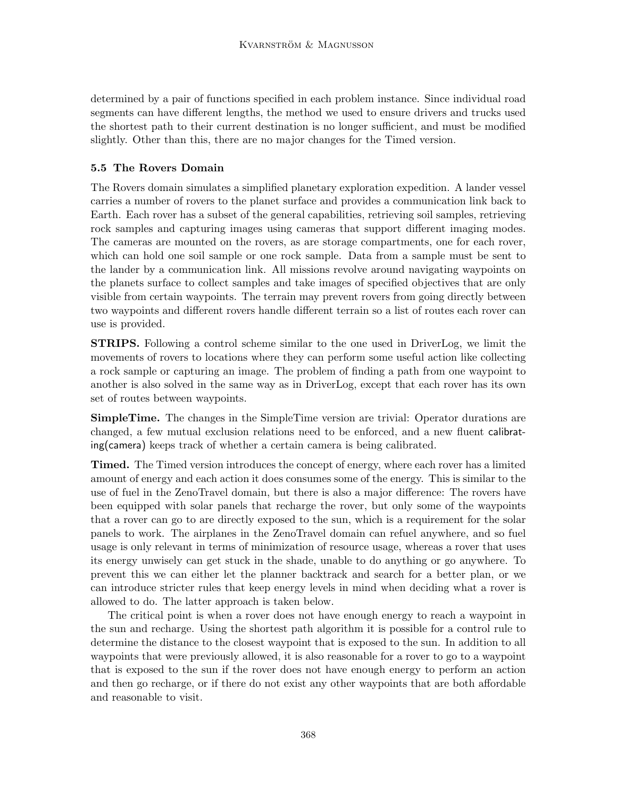determined by a pair of functions specified in each problem instance. Since individual road segments can have different lengths, the method we used to ensure drivers and trucks used the shortest path to their current destination is no longer sufficient, and must be modified slightly. Other than this, there are no major changes for the Timed version.

## 5.5 The Rovers Domain

The Rovers domain simulates a simplified planetary exploration expedition. A lander vessel carries a number of rovers to the planet surface and provides a communication link back to Earth. Each rover has a subset of the general capabilities, retrieving soil samples, retrieving rock samples and capturing images using cameras that support different imaging modes. The cameras are mounted on the rovers, as are storage compartments, one for each rover, which can hold one soil sample or one rock sample. Data from a sample must be sent to the lander by a communication link. All missions revolve around navigating waypoints on the planets surface to collect samples and take images of specified objectives that are only visible from certain waypoints. The terrain may prevent rovers from going directly between two waypoints and different rovers handle different terrain so a list of routes each rover can use is provided.

STRIPS. Following a control scheme similar to the one used in DriverLog, we limit the movements of rovers to locations where they can perform some useful action like collecting a rock sample or capturing an image. The problem of finding a path from one waypoint to another is also solved in the same way as in DriverLog, except that each rover has its own set of routes between waypoints.

SimpleTime. The changes in the SimpleTime version are trivial: Operator durations are changed, a few mutual exclusion relations need to be enforced, and a new fluent calibrating(camera) keeps track of whether a certain camera is being calibrated.

Timed. The Timed version introduces the concept of energy, where each rover has a limited amount of energy and each action it does consumes some of the energy. This is similar to the use of fuel in the ZenoTravel domain, but there is also a major difference: The rovers have been equipped with solar panels that recharge the rover, but only some of the waypoints that a rover can go to are directly exposed to the sun, which is a requirement for the solar panels to work. The airplanes in the ZenoTravel domain can refuel anywhere, and so fuel usage is only relevant in terms of minimization of resource usage, whereas a rover that uses its energy unwisely can get stuck in the shade, unable to do anything or go anywhere. To prevent this we can either let the planner backtrack and search for a better plan, or we can introduce stricter rules that keep energy levels in mind when deciding what a rover is allowed to do. The latter approach is taken below.

The critical point is when a rover does not have enough energy to reach a waypoint in the sun and recharge. Using the shortest path algorithm it is possible for a control rule to determine the distance to the closest waypoint that is exposed to the sun. In addition to all waypoints that were previously allowed, it is also reasonable for a rover to go to a waypoint that is exposed to the sun if the rover does not have enough energy to perform an action and then go recharge, or if there do not exist any other waypoints that are both affordable and reasonable to visit.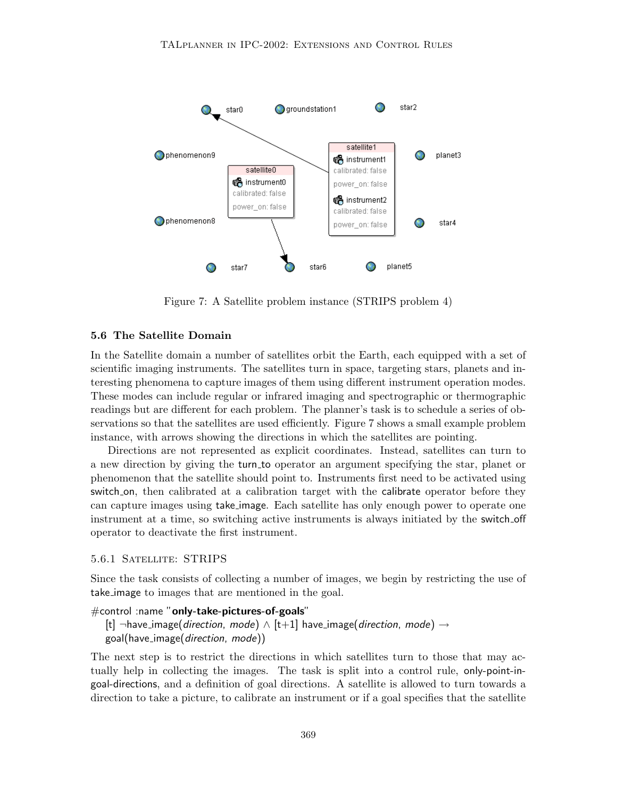

Figure 7: A Satellite problem instance (STRIPS problem 4)

#### 5.6 The Satellite Domain

In the Satellite domain a number of satellites orbit the Earth, each equipped with a set of scientific imaging instruments. The satellites turn in space, targeting stars, planets and interesting phenomena to capture images of them using different instrument operation modes. These modes can include regular or infrared imaging and spectrographic or thermographic readings but are different for each problem. The planner's task is to schedule a series of observations so that the satellites are used efficiently. Figure 7 shows a small example problem instance, with arrows showing the directions in which the satellites are pointing.

Directions are not represented as explicit coordinates. Instead, satellites can turn to a new direction by giving the turn to operator an argument specifying the star, planet or phenomenon that the satellite should point to. Instruments first need to be activated using switch on, then calibrated at a calibration target with the calibrate operator before they can capture images using take image. Each satellite has only enough power to operate one instrument at a time, so switching active instruments is always initiated by the switch off operator to deactivate the first instrument.

#### 5.6.1 Satellite: STRIPS

Since the task consists of collecting a number of images, we begin by restricting the use of take image to images that are mentioned in the goal.

```
#control :name "only-take-pictures-of-goals"
```

```
[t] \neghave_image(direction, mode) \wedge [t+1] have_image(direction, mode) \rightarrowgoal(have image(direction, mode))
```
The next step is to restrict the directions in which satellites turn to those that may actually help in collecting the images. The task is split into a control rule, only-point-ingoal-directions, and a definition of goal directions. A satellite is allowed to turn towards a direction to take a picture, to calibrate an instrument or if a goal specifies that the satellite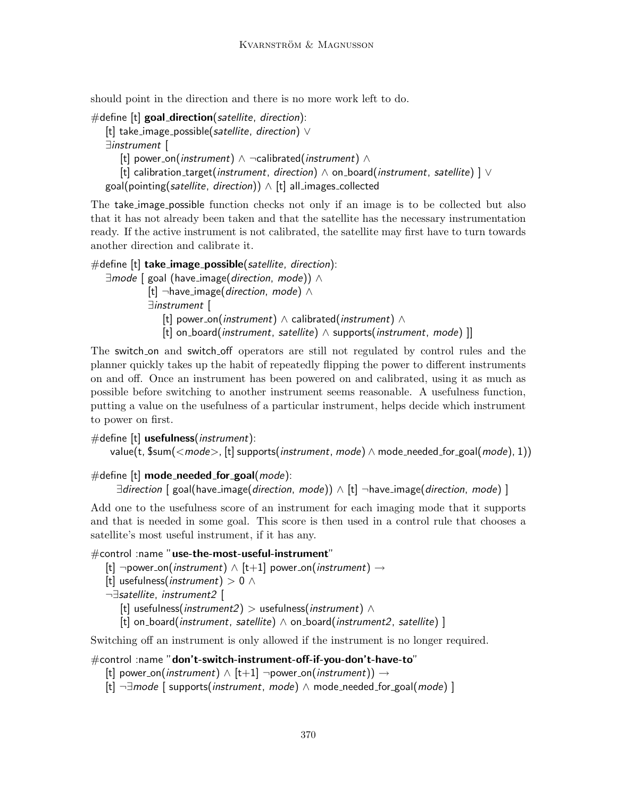should point in the direction and there is no more work left to do.

 $#$ define  $[t]$  goal direction(satellite, direction): [t] take\_image\_possible(satellite, direction) ∨ ∃instrument [ [t] power\_on(*instrument*) ∧  $\neg$ calibrated(*instrument*) ∧ [t] calibration\_target(instrument, direction)  $\wedge$  on board(instrument, satellite) ]  $\vee$ goal(pointing(satellite, direction))  $\wedge$  [t] all images collected

The take image possible function checks not only if an image is to be collected but also that it has not already been taken and that the satellite has the necessary instrumentation ready. If the active instrument is not calibrated, the satellite may first have to turn towards another direction and calibrate it.

#define  $[t]$  take\_image\_possible(satellite, direction): ∃mode [ goal (have image(direction, mode)) ∧ [t]  $\neg$ have\_image(*direction, mode*) ∧ ∃instrument [ [t] power\_on(*instrument*)  $\wedge$  calibrated(*instrument*)  $\wedge$ [t] on\_board(*instrument, satellite*)  $\land$  supports(*instrument, mode*) ]]

The switch on and switch off operators are still not regulated by control rules and the planner quickly takes up the habit of repeatedly flipping the power to different instruments on and off. Once an instrument has been powered on and calibrated, using it as much as possible before switching to another instrument seems reasonable. A usefulness function, putting a value on the usefulness of a particular instrument, helps decide which instrument to power on first.

 $#$ define  $[t]$  usefulness(*instrument*):

value(t,  $\frac{1}{s}$ sum(<mode>, [t] supports(instrument, mode)  $\wedge$  mode\_needed\_for\_goal(mode), 1))

```
#define [t] mode_needed_for_goal(mode):
```

```
∃direction [ goal(have image(direction, mode)) ∧ [t] ¬have image(direction, mode) ]
```
Add one to the usefulness score of an instrument for each imaging mode that it supports and that is needed in some goal. This score is then used in a control rule that chooses a satellite's most useful instrument, if it has any.

```
#control :name "use-the-most-useful-instrument"
```
[t]  $\neg$ power\_on(*instrument*)  $\wedge$  [t+1] power\_on(*instrument*)  $\rightarrow$ 

[t] usefulness(*instrument*) > 0  $\land$ 

¬∃satellite, instrument2 [

[t] usefulness(instrument2) > usefulness(instrument)  $\wedge$ 

[t] on\_board(instrument, satellite)  $\wedge$  on\_board(instrument2, satellite) ]

Switching off an instrument is only allowed if the instrument is no longer required.

#control :name "don't-switch-instrument-off-if-you-don't-have-to"

- [t] power\_on(*instrument*)  $\land$  [t+1]  $\neg$ power\_on(*instrument*))  $\rightarrow$
- [t]  $\neg \exists mode$  [ supports(*instrument, mode*)  $\land$  mode\_needed\_for\_goal(*mode*) ]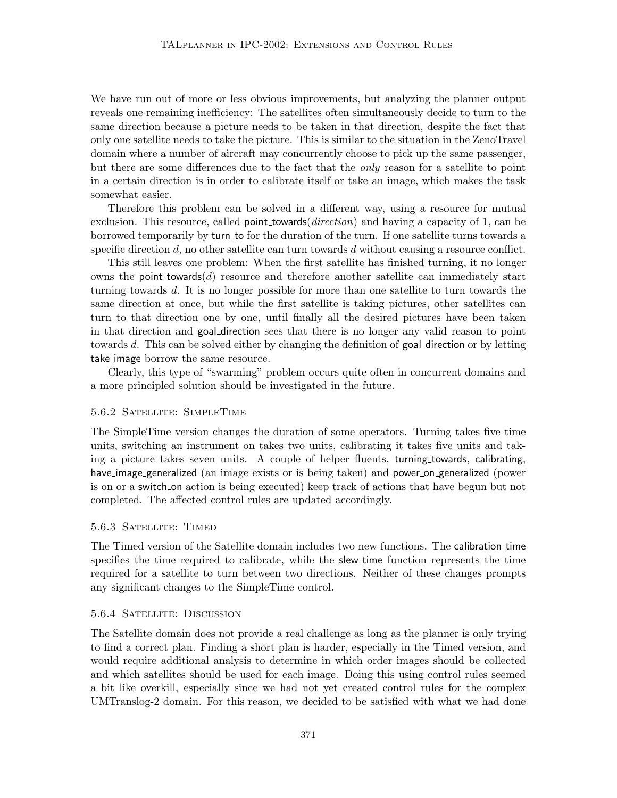We have run out of more or less obvious improvements, but analyzing the planner output reveals one remaining inefficiency: The satellites often simultaneously decide to turn to the same direction because a picture needs to be taken in that direction, despite the fact that only one satellite needs to take the picture. This is similar to the situation in the ZenoTravel domain where a number of aircraft may concurrently choose to pick up the same passenger, but there are some differences due to the fact that the only reason for a satellite to point in a certain direction is in order to calibrate itself or take an image, which makes the task somewhat easier.

Therefore this problem can be solved in a different way, using a resource for mutual exclusion. This resource, called **point** towards (*direction*) and having a capacity of 1, can be borrowed temporarily by turn to for the duration of the turn. If one satellite turns towards a specific direction  $d$ , no other satellite can turn towards  $d$  without causing a resource conflict.

This still leaves one problem: When the first satellite has finished turning, it no longer owns the point towards  $(d)$  resource and therefore another satellite can immediately start turning towards d. It is no longer possible for more than one satellite to turn towards the same direction at once, but while the first satellite is taking pictures, other satellites can turn to that direction one by one, until finally all the desired pictures have been taken in that direction and goal direction sees that there is no longer any valid reason to point towards d. This can be solved either by changing the definition of goal direction or by letting take image borrow the same resource.

Clearly, this type of "swarming" problem occurs quite often in concurrent domains and a more principled solution should be investigated in the future.

#### 5.6.2 Satellite: SimpleTime

The SimpleTime version changes the duration of some operators. Turning takes five time units, switching an instrument on takes two units, calibrating it takes five units and taking a picture takes seven units. A couple of helper fluents, turning towards, calibrating, have image generalized (an image exists or is being taken) and power on generalized (power is on or a switch on action is being executed) keep track of actions that have begun but not completed. The affected control rules are updated accordingly.

### 5.6.3 Satellite: Timed

The Timed version of the Satellite domain includes two new functions. The calibration time specifies the time required to calibrate, while the slew time function represents the time required for a satellite to turn between two directions. Neither of these changes prompts any significant changes to the SimpleTime control.

### 5.6.4 Satellite: Discussion

The Satellite domain does not provide a real challenge as long as the planner is only trying to find a correct plan. Finding a short plan is harder, especially in the Timed version, and would require additional analysis to determine in which order images should be collected and which satellites should be used for each image. Doing this using control rules seemed a bit like overkill, especially since we had not yet created control rules for the complex UMTranslog-2 domain. For this reason, we decided to be satisfied with what we had done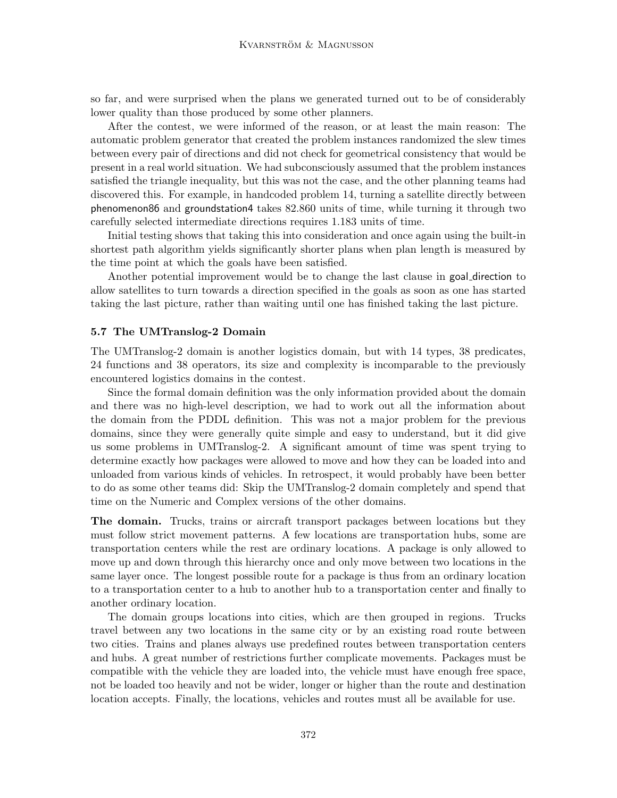so far, and were surprised when the plans we generated turned out to be of considerably lower quality than those produced by some other planners.

After the contest, we were informed of the reason, or at least the main reason: The automatic problem generator that created the problem instances randomized the slew times between every pair of directions and did not check for geometrical consistency that would be present in a real world situation. We had subconsciously assumed that the problem instances satisfied the triangle inequality, but this was not the case, and the other planning teams had discovered this. For example, in handcoded problem 14, turning a satellite directly between phenomenon86 and groundstation4 takes 82.860 units of time, while turning it through two carefully selected intermediate directions requires 1.183 units of time.

Initial testing shows that taking this into consideration and once again using the built-in shortest path algorithm yields significantly shorter plans when plan length is measured by the time point at which the goals have been satisfied.

Another potential improvement would be to change the last clause in goal direction to allow satellites to turn towards a direction specified in the goals as soon as one has started taking the last picture, rather than waiting until one has finished taking the last picture.

#### 5.7 The UMTranslog-2 Domain

The UMTranslog-2 domain is another logistics domain, but with 14 types, 38 predicates, 24 functions and 38 operators, its size and complexity is incomparable to the previously encountered logistics domains in the contest.

Since the formal domain definition was the only information provided about the domain and there was no high-level description, we had to work out all the information about the domain from the PDDL definition. This was not a major problem for the previous domains, since they were generally quite simple and easy to understand, but it did give us some problems in UMTranslog-2. A significant amount of time was spent trying to determine exactly how packages were allowed to move and how they can be loaded into and unloaded from various kinds of vehicles. In retrospect, it would probably have been better to do as some other teams did: Skip the UMTranslog-2 domain completely and spend that time on the Numeric and Complex versions of the other domains.

The domain. Trucks, trains or aircraft transport packages between locations but they must follow strict movement patterns. A few locations are transportation hubs, some are transportation centers while the rest are ordinary locations. A package is only allowed to move up and down through this hierarchy once and only move between two locations in the same layer once. The longest possible route for a package is thus from an ordinary location to a transportation center to a hub to another hub to a transportation center and finally to another ordinary location.

The domain groups locations into cities, which are then grouped in regions. Trucks travel between any two locations in the same city or by an existing road route between two cities. Trains and planes always use predefined routes between transportation centers and hubs. A great number of restrictions further complicate movements. Packages must be compatible with the vehicle they are loaded into, the vehicle must have enough free space, not be loaded too heavily and not be wider, longer or higher than the route and destination location accepts. Finally, the locations, vehicles and routes must all be available for use.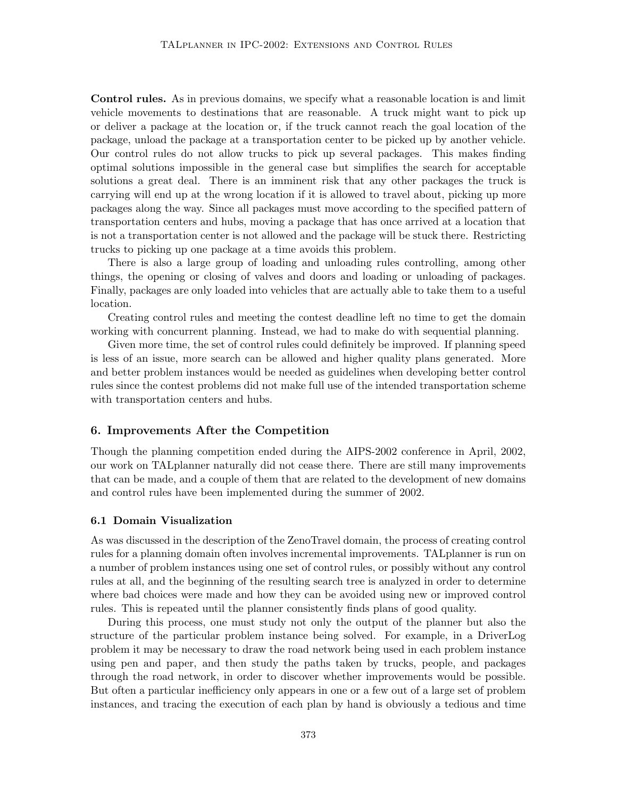Control rules. As in previous domains, we specify what a reasonable location is and limit vehicle movements to destinations that are reasonable. A truck might want to pick up or deliver a package at the location or, if the truck cannot reach the goal location of the package, unload the package at a transportation center to be picked up by another vehicle. Our control rules do not allow trucks to pick up several packages. This makes finding optimal solutions impossible in the general case but simplifies the search for acceptable solutions a great deal. There is an imminent risk that any other packages the truck is carrying will end up at the wrong location if it is allowed to travel about, picking up more packages along the way. Since all packages must move according to the specified pattern of transportation centers and hubs, moving a package that has once arrived at a location that is not a transportation center is not allowed and the package will be stuck there. Restricting trucks to picking up one package at a time avoids this problem.

There is also a large group of loading and unloading rules controlling, among other things, the opening or closing of valves and doors and loading or unloading of packages. Finally, packages are only loaded into vehicles that are actually able to take them to a useful location.

Creating control rules and meeting the contest deadline left no time to get the domain working with concurrent planning. Instead, we had to make do with sequential planning.

Given more time, the set of control rules could definitely be improved. If planning speed is less of an issue, more search can be allowed and higher quality plans generated. More and better problem instances would be needed as guidelines when developing better control rules since the contest problems did not make full use of the intended transportation scheme with transportation centers and hubs.

### 6. Improvements After the Competition

Though the planning competition ended during the AIPS-2002 conference in April, 2002, our work on TALplanner naturally did not cease there. There are still many improvements that can be made, and a couple of them that are related to the development of new domains and control rules have been implemented during the summer of 2002.

### 6.1 Domain Visualization

As was discussed in the description of the ZenoTravel domain, the process of creating control rules for a planning domain often involves incremental improvements. TALplanner is run on a number of problem instances using one set of control rules, or possibly without any control rules at all, and the beginning of the resulting search tree is analyzed in order to determine where bad choices were made and how they can be avoided using new or improved control rules. This is repeated until the planner consistently finds plans of good quality.

During this process, one must study not only the output of the planner but also the structure of the particular problem instance being solved. For example, in a DriverLog problem it may be necessary to draw the road network being used in each problem instance using pen and paper, and then study the paths taken by trucks, people, and packages through the road network, in order to discover whether improvements would be possible. But often a particular inefficiency only appears in one or a few out of a large set of problem instances, and tracing the execution of each plan by hand is obviously a tedious and time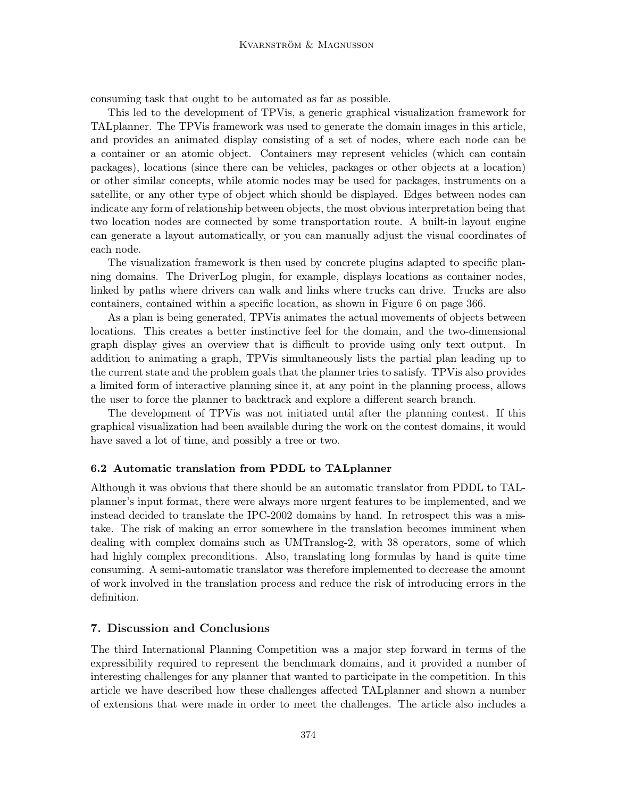consuming task that ought to be automated as far as possible.

This led to the development of TPVis, a generic graphical visualization framework for TALplanner. The TPVis framework was used to generate the domain images in this article, and provides an animated display consisting of a set of nodes, where each node can be a container or an atomic object. Containers may represent vehicles (which can contain packages), locations (since there can be vehicles, packages or other objects at a location) or other similar concepts, while atomic nodes may be used for packages, instruments on a satellite, or any other type of object which should be displayed. Edges between nodes can indicate any form of relationship between objects, the most obvious interpretation being that two location nodes are connected by some transportation route. A built-in layout engine can generate a layout automatically, or you can manually adjust the visual coordinates of each node.

The visualization framework is then used by concrete plugins adapted to specific planning domains. The DriverLog plugin, for example, displays locations as container nodes, linked by paths where drivers can walk and links where trucks can drive. Trucks are also containers, contained within a specific location, as shown in Figure 6 on page 366.

As a plan is being generated, TPVis animates the actual movements of objects between locations. This creates a better instinctive feel for the domain, and the two-dimensional graph display gives an overview that is difficult to provide using only text output. In addition to animating a graph, TPVis simultaneously lists the partial plan leading up to the current state and the problem goals that the planner tries to satisfy. TPVis also provides a limited form of interactive planning since it, at any point in the planning process, allows the user to force the planner to backtrack and explore a different search branch.

The development of TPVis was not initiated until after the planning contest. If this graphical visualization had been available during the work on the contest domains, it would have saved a lot of time, and possibly a tree or two.

#### 6.2 Automatic translation from PDDL to TALplanner

Although it was obvious that there should be an automatic translator from PDDL to TALplanner's input format, there were always more urgent features to be implemented, and we instead decided to translate the IPC-2002 domains by hand. In retrospect this was a mistake. The risk of making an error somewhere in the translation becomes imminent when dealing with complex domains such as UMTranslog-2, with 38 operators, some of which had highly complex preconditions. Also, translating long formulas by hand is quite time consuming. A semi-automatic translator was therefore implemented to decrease the amount of work involved in the translation process and reduce the risk of introducing errors in the definition.

### 7. Discussion and Conclusions

The third International Planning Competition was a major step forward in terms of the expressibility required to represent the benchmark domains, and it provided a number of interesting challenges for any planner that wanted to participate in the competition. In this article we have described how these challenges affected TALplanner and shown a number of extensions that were made in order to meet the challenges. The article also includes a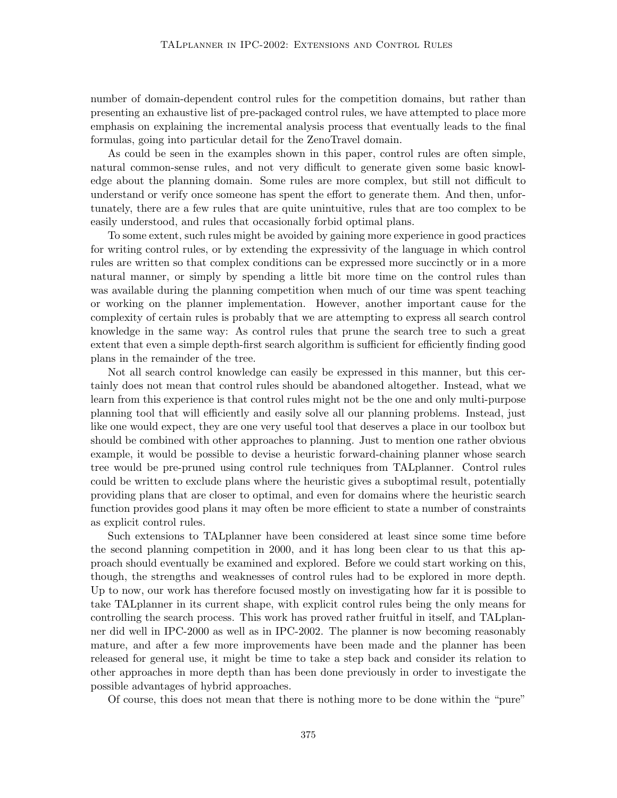number of domain-dependent control rules for the competition domains, but rather than presenting an exhaustive list of pre-packaged control rules, we have attempted to place more emphasis on explaining the incremental analysis process that eventually leads to the final formulas, going into particular detail for the ZenoTravel domain.

As could be seen in the examples shown in this paper, control rules are often simple, natural common-sense rules, and not very difficult to generate given some basic knowledge about the planning domain. Some rules are more complex, but still not difficult to understand or verify once someone has spent the effort to generate them. And then, unfortunately, there are a few rules that are quite unintuitive, rules that are too complex to be easily understood, and rules that occasionally forbid optimal plans.

To some extent, such rules might be avoided by gaining more experience in good practices for writing control rules, or by extending the expressivity of the language in which control rules are written so that complex conditions can be expressed more succinctly or in a more natural manner, or simply by spending a little bit more time on the control rules than was available during the planning competition when much of our time was spent teaching or working on the planner implementation. However, another important cause for the complexity of certain rules is probably that we are attempting to express all search control knowledge in the same way: As control rules that prune the search tree to such a great extent that even a simple depth-first search algorithm is sufficient for efficiently finding good plans in the remainder of the tree.

Not all search control knowledge can easily be expressed in this manner, but this certainly does not mean that control rules should be abandoned altogether. Instead, what we learn from this experience is that control rules might not be the one and only multi-purpose planning tool that will efficiently and easily solve all our planning problems. Instead, just like one would expect, they are one very useful tool that deserves a place in our toolbox but should be combined with other approaches to planning. Just to mention one rather obvious example, it would be possible to devise a heuristic forward-chaining planner whose search tree would be pre-pruned using control rule techniques from TALplanner. Control rules could be written to exclude plans where the heuristic gives a suboptimal result, potentially providing plans that are closer to optimal, and even for domains where the heuristic search function provides good plans it may often be more efficient to state a number of constraints as explicit control rules.

Such extensions to TALplanner have been considered at least since some time before the second planning competition in 2000, and it has long been clear to us that this approach should eventually be examined and explored. Before we could start working on this, though, the strengths and weaknesses of control rules had to be explored in more depth. Up to now, our work has therefore focused mostly on investigating how far it is possible to take TALplanner in its current shape, with explicit control rules being the only means for controlling the search process. This work has proved rather fruitful in itself, and TALplanner did well in IPC-2000 as well as in IPC-2002. The planner is now becoming reasonably mature, and after a few more improvements have been made and the planner has been released for general use, it might be time to take a step back and consider its relation to other approaches in more depth than has been done previously in order to investigate the possible advantages of hybrid approaches.

Of course, this does not mean that there is nothing more to be done within the "pure"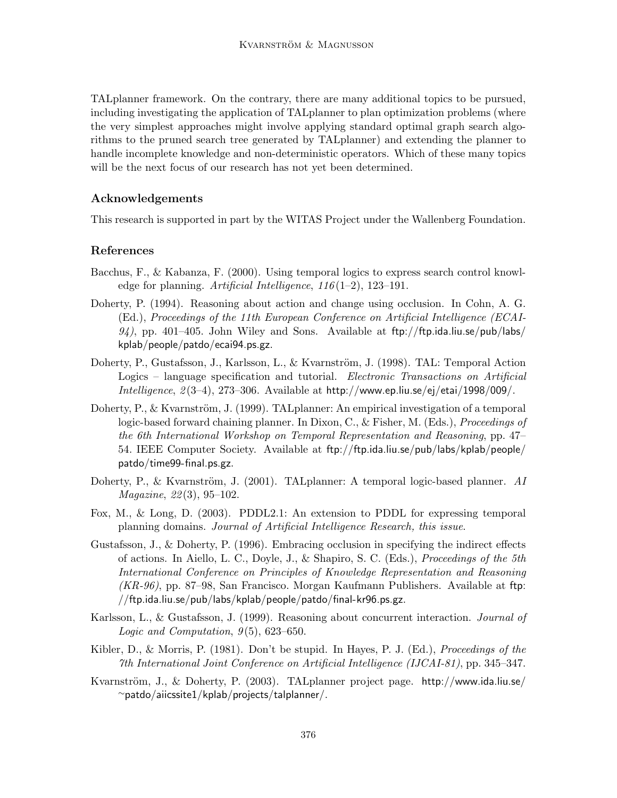TALplanner framework. On the contrary, there are many additional topics to be pursued, including investigating the application of TALplanner to plan optimization problems (where the very simplest approaches might involve applying standard optimal graph search algorithms to the pruned search tree generated by TALplanner) and extending the planner to handle incomplete knowledge and non-deterministic operators. Which of these many topics will be the next focus of our research has not yet been determined.

## Acknowledgements

This research is supported in part by the WITAS Project under the Wallenberg Foundation.

## References

- Bacchus, F., & Kabanza, F. (2000). Using temporal logics to express search control knowledge for planning. Artificial Intelligence,  $116(1-2)$ , 123-191.
- Doherty, P. (1994). Reasoning about action and change using occlusion. In Cohn, A. G. (Ed.), Proceedings of the 11th European Conference on Artificial Intelligence (ECAI- $94$ , pp. 401–405. John Wiley and Sons. Available at ftp://ftp.ida.liu.se/pub/labs/ kplab/people/patdo/ecai94.ps.gz.
- Doherty, P., Gustafsson, J., Karlsson, L., & Kvarnström, J. (1998). TAL: Temporal Action Logics – language specification and tutorial. Electronic Transactions on Artificial Intelligence,  $2(3-4)$ , 273-306. Available at http://www.ep.liu.se/ej/etai/1998/009/.
- Doherty, P., & Kvarnström, J. (1999). TALplanner: An empirical investigation of a temporal logic-based forward chaining planner. In Dixon, C., & Fisher, M. (Eds.), Proceedings of the 6th International Workshop on Temporal Representation and Reasoning, pp. 47– 54. IEEE Computer Society. Available at ftp://ftp.ida.liu.se/pub/labs/kplab/people/ patdo/time99-final.ps.gz.
- Doherty, P., & Kvarnström, J. (2001). TALplanner: A temporal logic-based planner. AI Magazine, 22 (3), 95–102.
- Fox, M., & Long, D. (2003). PDDL2.1: An extension to PDDL for expressing temporal planning domains. Journal of Artificial Intelligence Research, this issue.
- Gustafsson, J., & Doherty, P. (1996). Embracing occlusion in specifying the indirect effects of actions. In Aiello, L. C., Doyle, J., & Shapiro, S. C. (Eds.), Proceedings of the 5th International Conference on Principles of Knowledge Representation and Reasoning  $(KR-96)$ , pp. 87–98, San Francisco. Morgan Kaufmann Publishers. Available at ftp: //ftp.ida.liu.se/pub/labs/kplab/people/patdo/final-kr96.ps.gz.
- Karlsson, L., & Gustafsson, J. (1999). Reasoning about concurrent interaction. Journal of Logic and Computation,  $9(5)$ , 623-650.
- Kibler, D., & Morris, P. (1981). Don't be stupid. In Hayes, P. J. (Ed.), *Proceedings of the* 7th International Joint Conference on Artificial Intelligence (IJCAI-81), pp. 345–347.
- Kvarnström, J., & Doherty, P.  $(2003)$ . TALplanner project page. http://www.ida.liu.se/ <sup>∼</sup>patdo/aiicssite1/kplab/projects/talplanner/.